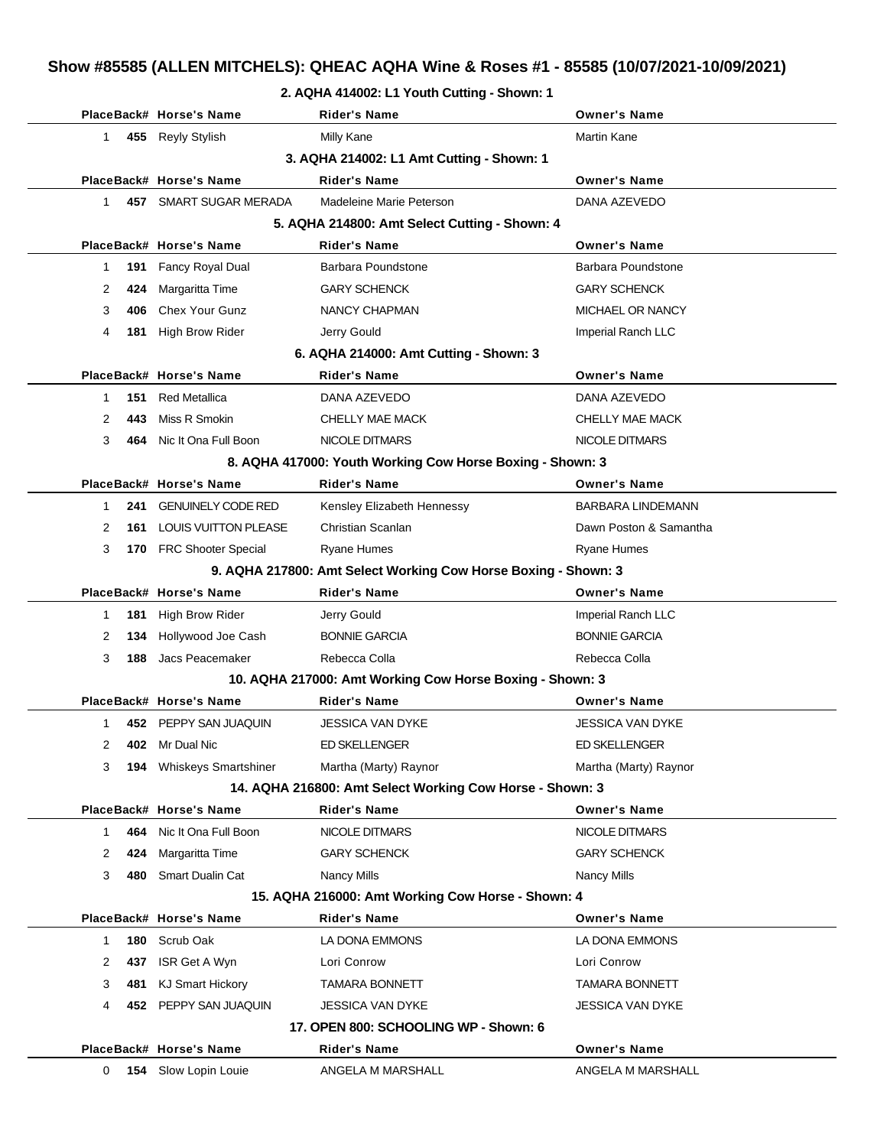#### **2. AQHA 414002: L1 Youth Cutting - Shown: 1**

|              |     | PlaceBack# Horse's Name     | <b>Rider's Name</b>                                            | <b>Owner's Name</b>      |
|--------------|-----|-----------------------------|----------------------------------------------------------------|--------------------------|
| $\mathbf{1}$ |     | 455 Reyly Stylish           | <b>Milly Kane</b>                                              | Martin Kane              |
|              |     |                             | 3. AQHA 214002: L1 Amt Cutting - Shown: 1                      |                          |
|              |     | PlaceBack# Horse's Name     | <b>Rider's Name</b>                                            | <b>Owner's Name</b>      |
| 1            |     | 457 SMART SUGAR MERADA      | Madeleine Marie Peterson                                       | DANA AZEVEDO             |
|              |     |                             | 5. AQHA 214800: Amt Select Cutting - Shown: 4                  |                          |
|              |     | PlaceBack# Horse's Name     | <b>Rider's Name</b>                                            | <b>Owner's Name</b>      |
| -1           | 191 | <b>Fancy Royal Dual</b>     | Barbara Poundstone                                             | Barbara Poundstone       |
| 2            | 424 | Margaritta Time             | <b>GARY SCHENCK</b>                                            | <b>GARY SCHENCK</b>      |
| 3            | 406 | Chex Your Gunz              | NANCY CHAPMAN                                                  | MICHAEL OR NANCY         |
| 4            | 181 | <b>High Brow Rider</b>      | Jerry Gould                                                    | Imperial Ranch LLC       |
|              |     |                             | 6. AQHA 214000: Amt Cutting - Shown: 3                         |                          |
|              |     | PlaceBack# Horse's Name     | <b>Rider's Name</b>                                            | <b>Owner's Name</b>      |
| -1           | 151 | <b>Red Metallica</b>        | DANA AZEVEDO                                                   | DANA AZEVEDO             |
| 2            | 443 | Miss R Smokin               | CHELLY MAE MACK                                                | CHELLY MAE MACK          |
| 3            | 464 | Nic It Ona Full Boon        | <b>NICOLE DITMARS</b>                                          | NICOLE DITMARS           |
|              |     |                             | 8. AQHA 417000: Youth Working Cow Horse Boxing - Shown: 3      |                          |
|              |     | PlaceBack# Horse's Name     | <b>Rider's Name</b>                                            | <b>Owner's Name</b>      |
| 1            | 241 | <b>GENUINELY CODE RED</b>   | Kensley Elizabeth Hennessy                                     | <b>BARBARA LINDEMANN</b> |
| 2            |     | 161 LOUIS VUITTON PLEASE    | Christian Scanlan                                              | Dawn Poston & Samantha   |
| 3            |     | 170 FRC Shooter Special     | <b>Ryane Humes</b>                                             | Ryane Humes              |
|              |     |                             | 9. AQHA 217800: Amt Select Working Cow Horse Boxing - Shown: 3 |                          |
|              |     | PlaceBack# Horse's Name     | <b>Rider's Name</b>                                            | <b>Owner's Name</b>      |
| -1           | 181 | High Brow Rider             | Jerry Gould                                                    | Imperial Ranch LLC       |
| 2            | 134 | Hollywood Joe Cash          | <b>BONNIE GARCIA</b>                                           | <b>BONNIE GARCIA</b>     |
| 3            | 188 | Jacs Peacemaker             | Rebecca Colla                                                  | Rebecca Colla            |
|              |     |                             | 10. AQHA 217000: Amt Working Cow Horse Boxing - Shown: 3       |                          |
|              |     | PlaceBack# Horse's Name     | Rider's Name                                                   | <b>Owner's Name</b>      |
| 1            |     | 452 PEPPY SAN JUAQUIN       | JESSICA VAN DYKE                                               | <b>JESSICA VAN DYKE</b>  |
| 2            |     | 402 Mr Dual Nic             | <b>ED SKELLENGER</b>                                           | <b>ED SKELLENGER</b>     |
| 3            | 194 | <b>Whiskeys Smartshiner</b> | Martha (Marty) Raynor                                          | Martha (Marty) Raynor    |
|              |     |                             | 14. AQHA 216800: Amt Select Working Cow Horse - Shown: 3       |                          |
|              |     | PlaceBack# Horse's Name     | <b>Rider's Name</b>                                            | <b>Owner's Name</b>      |
| $\mathbf 1$  | 464 | Nic It Ona Full Boon        | NICOLE DITMARS                                                 | NICOLE DITMARS           |
| 2            | 424 | Margaritta Time             | <b>GARY SCHENCK</b>                                            | <b>GARY SCHENCK</b>      |
| 3            | 480 | <b>Smart Dualin Cat</b>     | <b>Nancy Mills</b>                                             | Nancy Mills              |
|              |     |                             | 15. AQHA 216000: Amt Working Cow Horse - Shown: 4              |                          |
|              |     | PlaceBack# Horse's Name     | <b>Rider's Name</b>                                            | <b>Owner's Name</b>      |
| $\mathbf{1}$ | 180 | Scrub Oak                   | LA DONA EMMONS                                                 | LA DONA EMMONS           |
| 2            | 437 | ISR Get A Wyn               | Lori Conrow                                                    | Lori Conrow              |
| 3            | 481 | <b>KJ Smart Hickory</b>     | <b>TAMARA BONNETT</b>                                          | <b>TAMARA BONNETT</b>    |
| 4            |     | 452 PEPPY SAN JUAQUIN       | JESSICA VAN DYKE                                               | JESSICA VAN DYKE         |
|              |     |                             | 17. OPEN 800: SCHOOLING WP - Shown: 6                          |                          |
|              |     | PlaceBack# Horse's Name     | Rider's Name                                                   | <b>Owner's Name</b>      |
| $\mathbf{0}$ | 154 | Slow Lopin Louie            | ANGELA M MARSHALL                                              | ANGELA M MARSHALL        |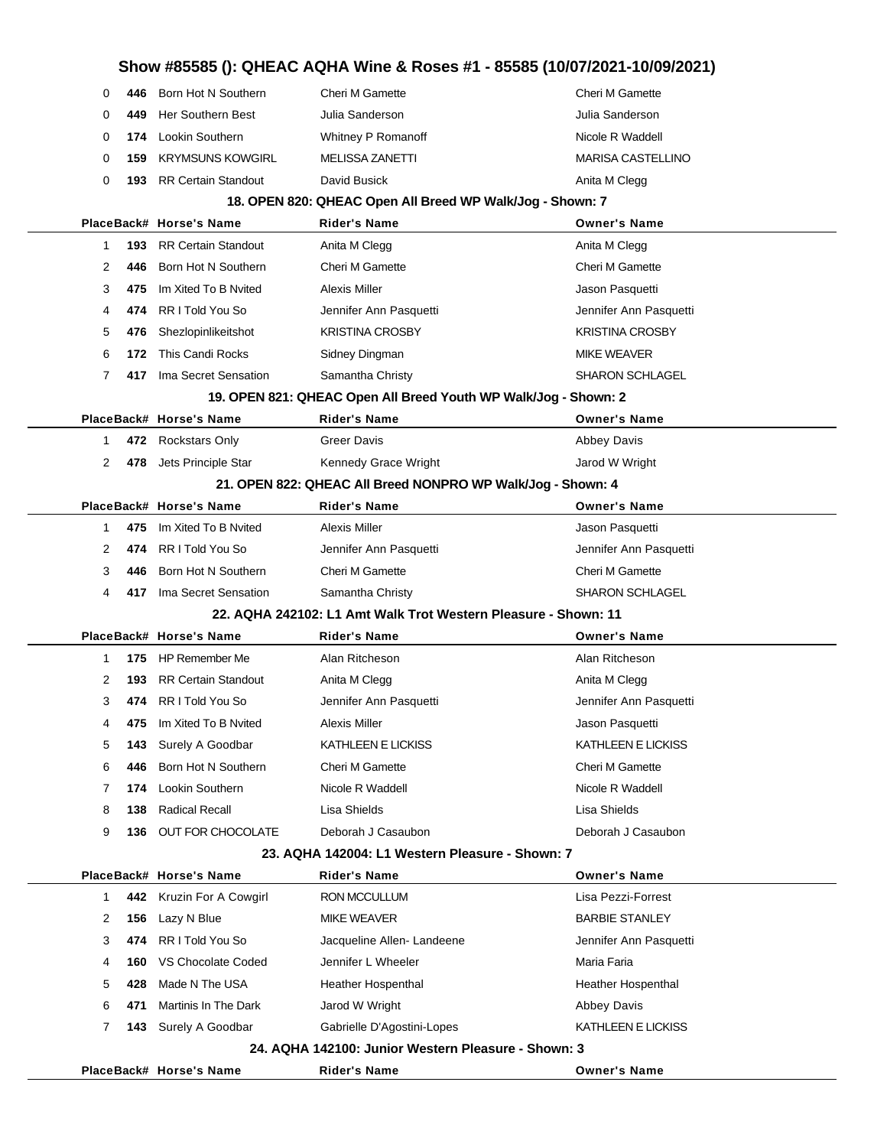|        |            |                                                  | Show #85585 (): QHEAC AQHA Wine & Roses #1 - 85585 (10/07/2021-10/09/2021) |                                       |
|--------|------------|--------------------------------------------------|----------------------------------------------------------------------------|---------------------------------------|
| 0      | 446        | Born Hot N Southern                              | Cheri M Gamette                                                            | Cheri M Gamette                       |
| 0      | 449        | Her Southern Best                                | Julia Sanderson                                                            | Julia Sanderson                       |
| 0      | 174        | Lookin Southern                                  | Whitney P Romanoff                                                         | Nicole R Waddell                      |
| 0      | 159        | <b>KRYMSUNS KOWGIRL</b>                          | <b>MELISSA ZANETTI</b>                                                     | <b>MARISA CASTELLINO</b>              |
| 0      |            | <b>193</b> RR Certain Standout                   | David Busick                                                               | Anita M Clegg                         |
|        |            |                                                  | 18. OPEN 820: QHEAC Open All Breed WP Walk/Jog - Shown: 7                  |                                       |
|        |            | PlaceBack# Horse's Name                          | Rider's Name                                                               | <b>Owner's Name</b>                   |
| 1      | 193        | <b>RR Certain Standout</b>                       | Anita M Clegg                                                              | Anita M Clegg                         |
| 2      | 446        | Born Hot N Southern                              | <b>Cheri M Gamette</b>                                                     | <b>Cheri M Gamette</b>                |
| 3      | 475        | Im Xited To B Nvited                             | <b>Alexis Miller</b>                                                       | Jason Pasquetti                       |
| 4      | 474        | RR I Told You So                                 | Jennifer Ann Pasquetti                                                     | Jennifer Ann Pasquetti                |
| 5      | 476        | Shezlopinlikeitshot                              | <b>KRISTINA CROSBY</b>                                                     | <b>KRISTINA CROSBY</b>                |
| 6      | 172        | This Candi Rocks                                 | Sidney Dingman                                                             | <b>MIKE WEAVER</b>                    |
| 7      |            | 417 Ima Secret Sensation                         | Samantha Christy                                                           | <b>SHARON SCHLAGEL</b>                |
|        |            |                                                  | 19. OPEN 821: QHEAC Open All Breed Youth WP Walk/Jog - Shown: 2            |                                       |
|        |            | PlaceBack# Horse's Name                          | <b>Rider's Name</b>                                                        | <b>Owner's Name</b>                   |
| 1      |            | 472 Rockstars Only                               | Greer Davis                                                                | <b>Abbey Davis</b>                    |
| 2      |            | 478 Jets Principle Star                          | Kennedy Grace Wright                                                       | Jarod W Wright                        |
|        |            |                                                  | 21. OPEN 822: QHEAC All Breed NONPRO WP Walk/Jog - Shown: 4                |                                       |
|        |            | PlaceBack# Horse's Name                          | <b>Rider's Name</b>                                                        | <b>Owner's Name</b>                   |
| 1      | 475        | Im Xited To B Nvited                             | <b>Alexis Miller</b>                                                       | Jason Pasquetti                       |
| 2      | 474        | RR I Told You So                                 | Jennifer Ann Pasquetti                                                     | Jennifer Ann Pasquetti                |
| 3      | 446        | Born Hot N Southern                              | <b>Cheri M Gamette</b>                                                     | <b>Cheri M Gamette</b>                |
| 4      | 417        | Ima Secret Sensation                             | Samantha Christy                                                           | <b>SHARON SCHLAGEL</b>                |
|        |            |                                                  | 22. AQHA 242102: L1 Amt Walk Trot Western Pleasure - Shown: 11             |                                       |
|        |            | PlaceBack# Horse's Name                          | <b>Rider's Name</b>                                                        | <b>Owner's Name</b>                   |
| 1      |            | 175 HP Remember Me<br><b>RR Certain Standout</b> | Alan Ritcheson                                                             | Alan Ritcheson                        |
| 2      | 193        |                                                  | Anita M Clegg                                                              | Anita M Clegg                         |
| 3      |            | 474 RR I Told You So                             | Jennifer Ann Pasquetti                                                     | Jennifer Ann Pasquetti                |
| 4      | 475        | Im Xited To B Nvited                             | Alexis Miller                                                              | Jason Pasquetti<br>KATHLEEN E LICKISS |
| 5<br>6 | 143<br>446 | Surely A Goodbar<br>Born Hot N Southern          | KATHLEEN E LICKISS<br><b>Cheri M Gamette</b>                               | <b>Cheri M Gamette</b>                |
|        | 174        | Lookin Southern                                  | Nicole R Waddell                                                           | Nicole R Waddell                      |
| 7      | 138        | <b>Radical Recall</b>                            | Lisa Shields                                                               | Lisa Shields                          |
| 8<br>9 |            | 136 OUT FOR CHOCOLATE                            | Deborah J Casaubon                                                         | Deborah J Casaubon                    |
|        |            |                                                  | 23. AQHA 142004: L1 Western Pleasure - Shown: 7                            |                                       |
|        |            | PlaceBack# Horse's Name                          | Rider's Name                                                               | <b>Owner's Name</b>                   |
| 1      |            | 442 Kruzin For A Cowgirl                         | RON MCCULLUM                                                               | Lisa Pezzi-Forrest                    |
| 2      | 156        | Lazy N Blue                                      | <b>MIKE WEAVER</b>                                                         | <b>BARBIE STANLEY</b>                 |
| 3      | 474        | RR I Told You So                                 | Jacqueline Allen-Landeene                                                  | Jennifer Ann Pasquetti                |
| 4      | 160        | VS Chocolate Coded                               | Jennifer L Wheeler                                                         | Maria Faria                           |
| 5      | 428        | Made N The USA                                   | Heather Hospenthal                                                         | Heather Hospenthal                    |
| 6      | 471        | Martinis In The Dark                             | Jarod W Wright                                                             | <b>Abbey Davis</b>                    |
| 7      |            | 143 Surely A Goodbar                             | Gabrielle D'Agostini-Lopes                                                 | KATHLEEN E LICKISS                    |
|        |            |                                                  | 24. AQHA 142100: Junior Western Pleasure - Shown: 3                        |                                       |
|        |            | PlaceBack# Horse's Name                          | Rider's Name                                                               | <b>Owner's Name</b>                   |
|        |            |                                                  |                                                                            |                                       |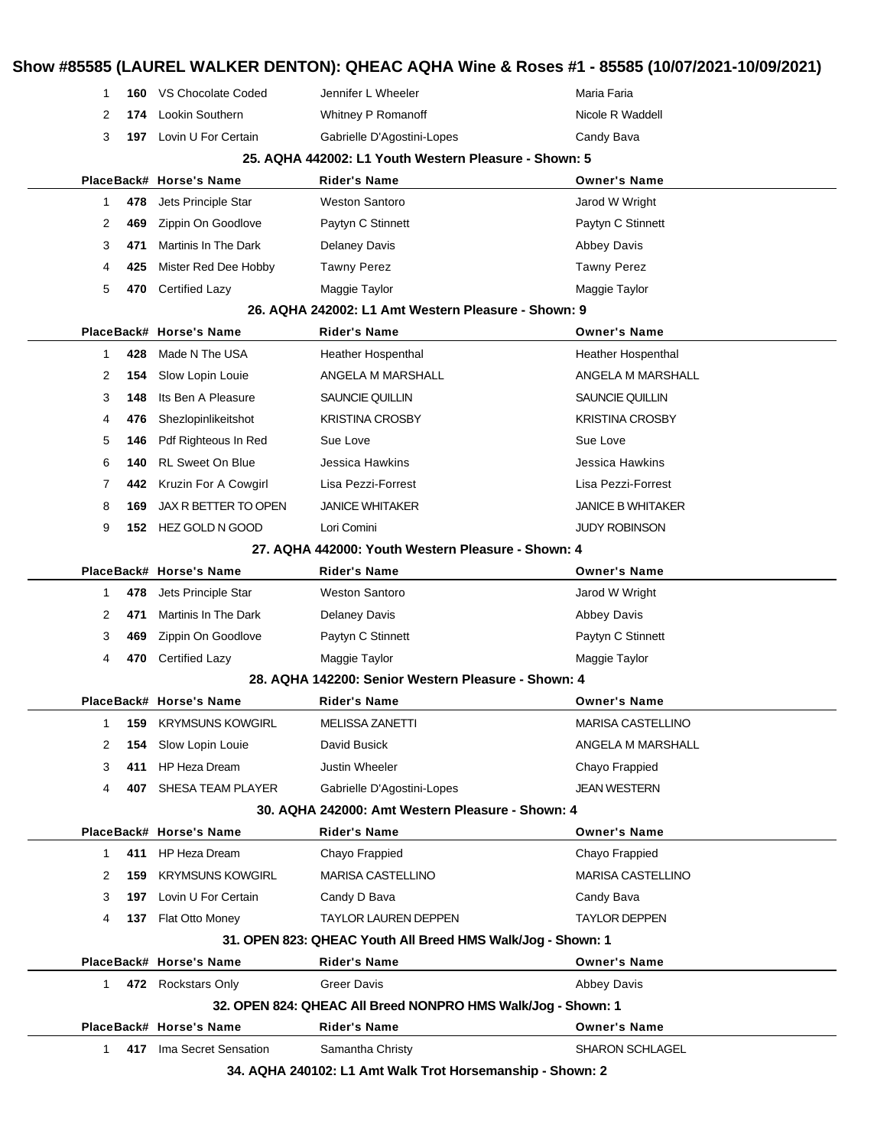| 1            |     | 160 VS Chocolate Coded   | Jennifer L Wheeler                                           | Maria Faria              |
|--------------|-----|--------------------------|--------------------------------------------------------------|--------------------------|
| 2            | 174 | Lookin Southern          | Whitney P Romanoff                                           | Nicole R Waddell         |
| 3            | 197 | Lovin U For Certain      | Gabrielle D'Agostini-Lopes                                   | Candy Bava               |
|              |     |                          | 25. AQHA 442002: L1 Youth Western Pleasure - Shown: 5        |                          |
|              |     | PlaceBack# Horse's Name  | <b>Rider's Name</b>                                          | <b>Owner's Name</b>      |
| 1            | 478 | Jets Principle Star      | <b>Weston Santoro</b>                                        | Jarod W Wright           |
| 2            | 469 | Zippin On Goodlove       | Paytyn C Stinnett                                            | Paytyn C Stinnett        |
| 3            | 471 | Martinis In The Dark     | <b>Delaney Davis</b>                                         | <b>Abbey Davis</b>       |
| 4            | 425 | Mister Red Dee Hobby     | <b>Tawny Perez</b>                                           | <b>Tawny Perez</b>       |
| 5            | 470 | <b>Certified Lazy</b>    | Maggie Taylor                                                | Maggie Taylor            |
|              |     |                          | 26. AQHA 242002: L1 Amt Western Pleasure - Shown: 9          |                          |
|              |     | PlaceBack# Horse's Name  | Rider's Name                                                 | <b>Owner's Name</b>      |
| $\mathbf{1}$ | 428 | Made N The USA           | Heather Hospenthal                                           | Heather Hospenthal       |
| 2            | 154 | Slow Lopin Louie         | ANGELA M MARSHALL                                            | ANGELA M MARSHALL        |
| 3            | 148 | Its Ben A Pleasure       | SAUNCIE QUILLIN                                              | SAUNCIE QUILLIN          |
| 4            | 476 | Shezlopinlikeitshot      | <b>KRISTINA CROSBY</b>                                       | <b>KRISTINA CROSBY</b>   |
| 5            | 146 | Pdf Righteous In Red     | Sue Love                                                     | Sue Love                 |
| 6            | 140 | <b>RL Sweet On Blue</b>  | Jessica Hawkins                                              | Jessica Hawkins          |
| 7            | 442 | Kruzin For A Cowgirl     | Lisa Pezzi-Forrest                                           | Lisa Pezzi-Forrest       |
| 8            | 169 | JAX R BETTER TO OPEN     | <b>JANICE WHITAKER</b>                                       | <b>JANICE B WHITAKER</b> |
| 9            | 152 | HEZ GOLD N GOOD          | Lori Comini                                                  | <b>JUDY ROBINSON</b>     |
|              |     |                          | 27. AQHA 442000: Youth Western Pleasure - Shown: 4           |                          |
|              |     | PlaceBack# Horse's Name  | <b>Rider's Name</b>                                          | <b>Owner's Name</b>      |
| 1            | 478 | Jets Principle Star      | <b>Weston Santoro</b>                                        | Jarod W Wright           |
| 2            | 471 | Martinis In The Dark     | <b>Delaney Davis</b>                                         | <b>Abbey Davis</b>       |
| 3            | 469 | Zippin On Goodlove       | Paytyn C Stinnett                                            | Paytyn C Stinnett        |
| 4            | 470 | Certified Lazy           | Maggie Taylor                                                | Maggie Taylor            |
|              |     |                          | 28. AQHA 142200: Senior Western Pleasure - Shown: 4          |                          |
|              |     | PlaceBack# Horse's Name  | Rider's Name                                                 | <b>Owner's Name</b>      |
| 1            | 159 | <b>KRYMSUNS KOWGIRL</b>  | <b>MELISSA ZANETTI</b>                                       | <b>MARISA CASTELLINO</b> |
| 2            | 154 | Slow Lopin Louie         | David Busick                                                 | ANGELA M MARSHALL        |
| 3            | 411 | <b>HP Heza Dream</b>     | Justin Wheeler                                               | Chayo Frappied           |
| 4            |     | 407 SHESA TEAM PLAYER    | Gabrielle D'Agostini-Lopes                                   | <b>JEAN WESTERN</b>      |
|              |     |                          | 30. AQHA 242000: Amt Western Pleasure - Shown: 4             |                          |
|              |     | PlaceBack# Horse's Name  | <b>Rider's Name</b>                                          | <b>Owner's Name</b>      |
| $\mathbf 1$  |     | 411 HP Heza Dream        | Chayo Frappied                                               | Chayo Frappied           |
| 2            | 159 | <b>KRYMSUNS KOWGIRL</b>  | <b>MARISA CASTELLINO</b>                                     | <b>MARISA CASTELLINO</b> |
| 3            | 197 | Lovin U For Certain      | Candy D Bava                                                 | Candy Bava               |
| 4            | 137 | Flat Otto Money          | <b>TAYLOR LAUREN DEPPEN</b>                                  | <b>TAYLOR DEPPEN</b>     |
|              |     |                          | 31. OPEN 823: QHEAC Youth All Breed HMS Walk/Jog - Shown: 1  |                          |
|              |     | PlaceBack# Horse's Name  | Rider's Name                                                 | <b>Owner's Name</b>      |
| 1.           |     | 472 Rockstars Only       | <b>Greer Davis</b>                                           | <b>Abbey Davis</b>       |
|              |     |                          | 32. OPEN 824: QHEAC All Breed NONPRO HMS Walk/Jog - Shown: 1 |                          |
|              |     | PlaceBack# Horse's Name  | <b>Rider's Name</b>                                          | <b>Owner's Name</b>      |
| $\mathbf{1}$ |     | 417 Ima Secret Sensation | Samantha Christy                                             | <b>SHARON SCHLAGEL</b>   |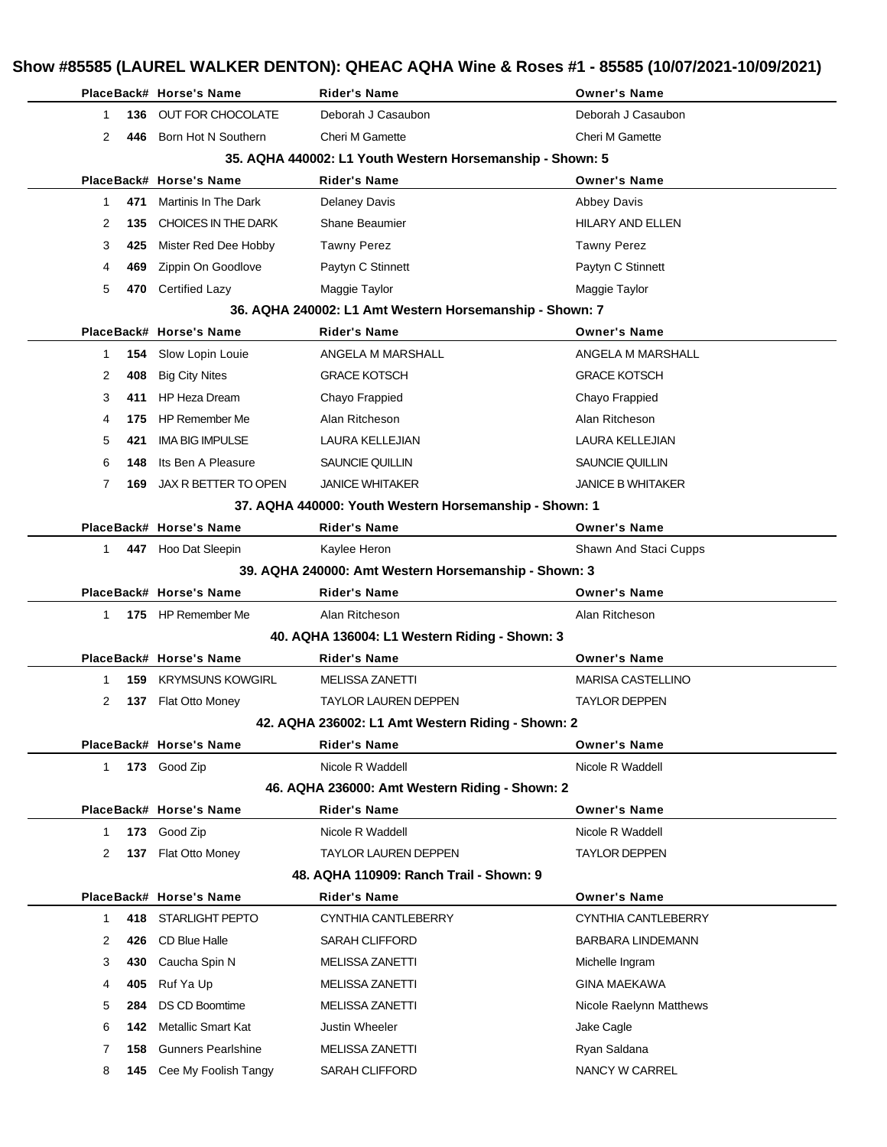|             |      | PlaceBack# Horse's Name     | <b>Rider's Name</b>                                       | <b>Owner's Name</b>      |
|-------------|------|-----------------------------|-----------------------------------------------------------|--------------------------|
| 1           | 136. | OUT FOR CHOCOLATE           | Deborah J Casaubon                                        | Deborah J Casaubon       |
| 2           | 446  | Born Hot N Southern         | <b>Cheri M Gamette</b>                                    | <b>Cheri M Gamette</b>   |
|             |      |                             | 35. AQHA 440002: L1 Youth Western Horsemanship - Shown: 5 |                          |
|             |      | PlaceBack# Horse's Name     | <b>Rider's Name</b>                                       | <b>Owner's Name</b>      |
| 1           | 471  | Martinis In The Dark        | <b>Delaney Davis</b>                                      | <b>Abbey Davis</b>       |
| 2           | 135  | CHOICES IN THE DARK         | Shane Beaumier                                            | <b>HILARY AND ELLEN</b>  |
| 3           | 425  | Mister Red Dee Hobby        | <b>Tawny Perez</b>                                        | <b>Tawny Perez</b>       |
| 4           | 469  | Zippin On Goodlove          | Paytyn C Stinnett                                         | Paytyn C Stinnett        |
| 5           |      | 470 Certified Lazy          | Maggie Taylor                                             | Maggie Taylor            |
|             |      |                             | 36. AQHA 240002: L1 Amt Western Horsemanship - Shown: 7   |                          |
|             |      | PlaceBack# Horse's Name     | <b>Rider's Name</b>                                       | <b>Owner's Name</b>      |
| 1           | 154  | Slow Lopin Louie            | ANGELA M MARSHALL                                         | ANGELA M MARSHALL        |
| 2           | 408  | <b>Big City Nites</b>       | <b>GRACE KOTSCH</b>                                       | <b>GRACE KOTSCH</b>      |
| 3           | 411  | <b>HP Heza Dream</b>        | Chayo Frappied                                            | Chayo Frappied           |
| 4           | 175  | <b>HP Remember Me</b>       | Alan Ritcheson                                            | Alan Ritcheson           |
| 5           | 421  | <b>IMA BIG IMPULSE</b>      | <b>LAURA KELLEJIAN</b>                                    | <b>LAURA KELLEJIAN</b>   |
| 6           | 148  | Its Ben A Pleasure          | <b>SAUNCIE QUILLIN</b>                                    | SAUNCIE QUILLIN          |
| 7           | 169  | JAX R BETTER TO OPEN        | <b>JANICE WHITAKER</b>                                    | <b>JANICE B WHITAKER</b> |
|             |      |                             | 37. AQHA 440000: Youth Western Horsemanship - Shown: 1    |                          |
|             |      | PlaceBack# Horse's Name     | <b>Rider's Name</b>                                       | <b>Owner's Name</b>      |
| $\mathbf 1$ |      | 447 Hoo Dat Sleepin         | Kaylee Heron                                              | Shawn And Staci Cupps    |
|             |      |                             | 39. AQHA 240000: Amt Western Horsemanship - Shown: 3      |                          |
|             |      | PlaceBack# Horse's Name     | <b>Rider's Name</b>                                       | <b>Owner's Name</b>      |
| 1.          |      | 175 HP Remember Me          | Alan Ritcheson                                            | Alan Ritcheson           |
|             |      |                             | 40. AQHA 136004: L1 Western Riding - Shown: 3             |                          |
|             |      | PlaceBack# Horse's Name     | <b>Rider's Name</b>                                       | <b>Owner's Name</b>      |
| 1.          |      | <b>159 KRYMSUNS KOWGIRL</b> | <b>MELISSA ZANETTI</b>                                    | <b>MARISA CASTELLINO</b> |
| 2           |      | 137 Flat Otto Money         | <b>TAYLOR LAUREN DEPPEN</b>                               | <b>TAYLOR DEPPEN</b>     |
|             |      |                             | 42. AQHA 236002: L1 Amt Western Riding - Shown: 2         |                          |
|             |      | PlaceBack# Horse's Name     | <b>Rider's Name</b>                                       | <b>Owner's Name</b>      |
| $\mathbf 1$ |      | 173 Good Zip                | Nicole R Waddell                                          | Nicole R Waddell         |
|             |      |                             | 46. AQHA 236000: Amt Western Riding - Shown: 2            |                          |
|             |      | PlaceBack# Horse's Name     | <b>Rider's Name</b>                                       | <b>Owner's Name</b>      |
| 1           |      | 173 Good Zip                | Nicole R Waddell                                          | Nicole R Waddell         |
| 2           |      | 137 Flat Otto Money         | TAYLOR LAUREN DEPPEN                                      | <b>TAYLOR DEPPEN</b>     |
|             |      |                             | 48. AQHA 110909: Ranch Trail - Shown: 9                   |                          |
|             |      | PlaceBack# Horse's Name     | <b>Rider's Name</b>                                       | <b>Owner's Name</b>      |
| 1           | 418  | <b>STARLIGHT PEPTO</b>      | CYNTHIA CANTLEBERRY                                       | CYNTHIA CANTLEBERRY      |
| 2           |      | 426 CD Blue Halle           | SARAH CLIFFORD                                            | <b>BARBARA LINDEMANN</b> |
| 3           | 430  | Caucha Spin N               | <b>MELISSA ZANETTI</b>                                    | Michelle Ingram          |
| 4           | 405  | Ruf Ya Up                   | <b>MELISSA ZANETTI</b>                                    | <b>GINA MAEKAWA</b>      |
| 5           | 284  | <b>DS CD Boomtime</b>       | MELISSA ZANETTI                                           | Nicole Raelynn Matthews  |
| 6           | 142  | <b>Metallic Smart Kat</b>   | Justin Wheeler                                            | Jake Cagle               |
| 7           | 158  | <b>Gunners Pearlshine</b>   | <b>MELISSA ZANETTI</b>                                    | Ryan Saldana             |
|             |      |                             |                                                           |                          |
| 8           |      | 145 Cee My Foolish Tangy    | SARAH CLIFFORD                                            | NANCY W CARREL           |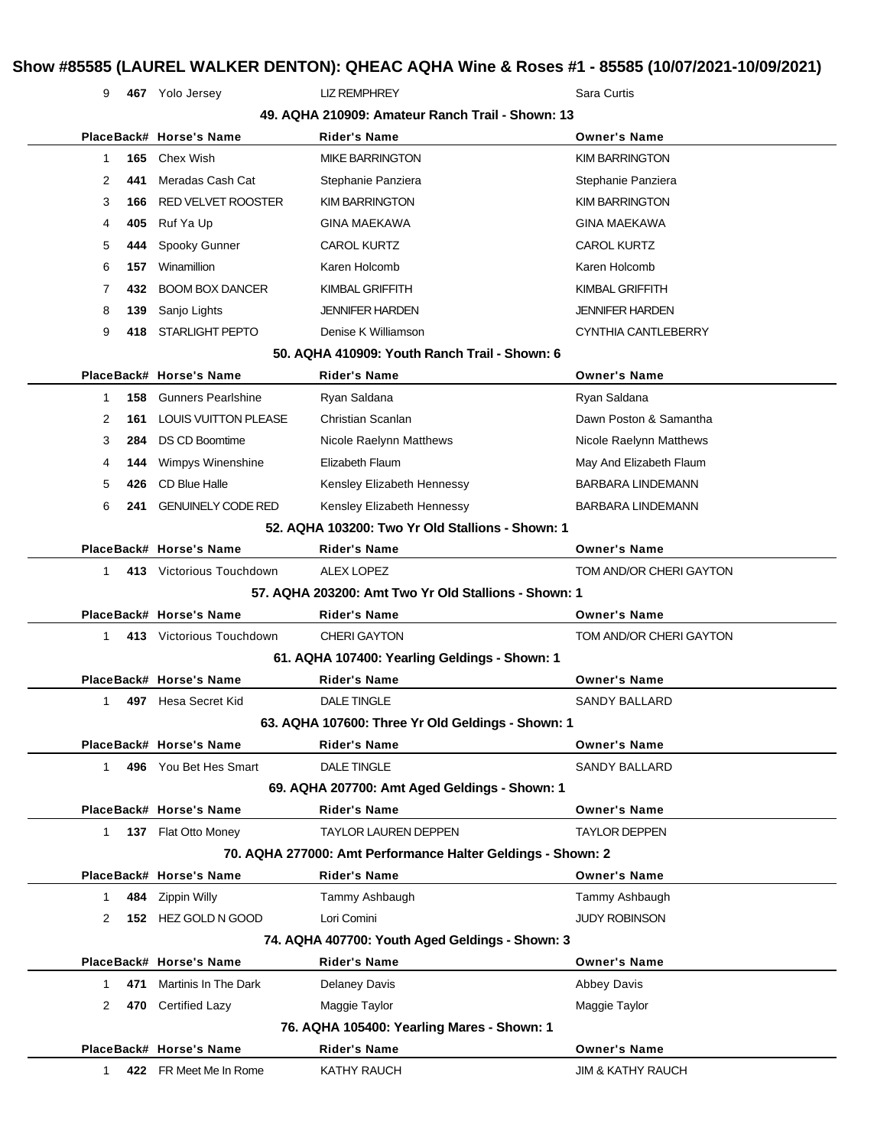# **Show #85585 (LAUREL WALKER DENTON): QHEAC AQHA Wine & Roses #1 - 85585 (10/07/2021-10/09/2021)**

9 **467** Yolo Jersey LIZ REMPHREY Sara Curtis

|              |     |                                                      | 49. AQHA 210909: Amateur Ranch Trail - Shown: 13            |                              |
|--------------|-----|------------------------------------------------------|-------------------------------------------------------------|------------------------------|
|              |     | PlaceBack# Horse's Name                              | <b>Rider's Name</b>                                         | <b>Owner's Name</b>          |
| $\mathbf{1}$ | 165 | Chex Wish                                            | <b>MIKE BARRINGTON</b>                                      | <b>KIM BARRINGTON</b>        |
| 2            | 441 | Meradas Cash Cat                                     | Stephanie Panziera                                          | Stephanie Panziera           |
| 3            | 166 | <b>RED VELVET ROOSTER</b>                            | <b>KIM BARRINGTON</b>                                       | <b>KIM BARRINGTON</b>        |
| 4            | 405 | Ruf Ya Up                                            | <b>GINA MAEKAWA</b>                                         | <b>GINA MAEKAWA</b>          |
| 5            | 444 | Spooky Gunner                                        | <b>CAROL KURTZ</b>                                          | <b>CAROL KURTZ</b>           |
| 6            | 157 | Winamillion                                          | Karen Holcomb                                               | Karen Holcomb                |
| 7            | 432 | <b>BOOM BOX DANCER</b>                               | KIMBAL GRIFFITH                                             | <b>KIMBAL GRIFFITH</b>       |
| 8            | 139 | Sanjo Lights                                         | <b>JENNIFER HARDEN</b>                                      | <b>JENNIFER HARDEN</b>       |
| 9            | 418 | <b>STARLIGHT PEPTO</b>                               | Denise K Williamson                                         | CYNTHIA CANTLEBERRY          |
|              |     |                                                      | 50. AQHA 410909: Youth Ranch Trail - Shown: 6               |                              |
|              |     | PlaceBack# Horse's Name                              | <b>Rider's Name</b>                                         | <b>Owner's Name</b>          |
| $\mathbf{1}$ | 158 | <b>Gunners Pearlshine</b>                            | Ryan Saldana                                                | Ryan Saldana                 |
| 2            | 161 | <b>LOUIS VUITTON PLEASE</b>                          | Christian Scanlan                                           | Dawn Poston & Samantha       |
| 3            | 284 | <b>DS CD Boomtime</b>                                | Nicole Raelynn Matthews                                     | Nicole Raelynn Matthews      |
| 4            | 144 | Wimpys Winenshine                                    | Elizabeth Flaum                                             | May And Elizabeth Flaum      |
| 5            | 426 | CD Blue Halle                                        | Kensley Elizabeth Hennessy                                  | <b>BARBARA LINDEMANN</b>     |
| 6            | 241 | <b>GENUINELY CODE RED</b>                            | Kensley Elizabeth Hennessy                                  | <b>BARBARA LINDEMANN</b>     |
|              |     |                                                      | 52. AQHA 103200: Two Yr Old Stallions - Shown: 1            |                              |
|              |     | PlaceBack# Horse's Name                              | <b>Rider's Name</b>                                         | <b>Owner's Name</b>          |
| $\mathbf{1}$ |     | 413 Victorious Touchdown                             | ALEX LOPEZ                                                  | TOM AND/OR CHERI GAYTON      |
|              |     | 57. AQHA 203200: Amt Two Yr Old Stallions - Shown: 1 |                                                             |                              |
|              |     | PlaceBack# Horse's Name                              | <b>Rider's Name</b>                                         | <b>Owner's Name</b>          |
| $\mathbf{1}$ |     | 413 Victorious Touchdown                             | <b>CHERI GAYTON</b>                                         | TOM AND/OR CHERI GAYTON      |
|              |     |                                                      | 61. AQHA 107400: Yearling Geldings - Shown: 1               |                              |
|              |     | PlaceBack# Horse's Name                              | <b>Rider's Name</b>                                         | <b>Owner's Name</b>          |
| 1            | 497 | Hesa Secret Kid                                      | <b>DALE TINGLE</b>                                          | <b>SANDY BALLARD</b>         |
|              |     |                                                      | 63. AQHA 107600: Three Yr Old Geldings - Shown: 1           |                              |
|              |     | PlaceBack# Horse's Name                              | <b>Rider's Name</b>                                         | <b>Owner's Name</b>          |
| 1            |     | 496 You Bet Hes Smart                                | <b>DALE TINGLE</b>                                          | <b>SANDY BALLARD</b>         |
|              |     |                                                      | 69. AQHA 207700: Amt Aged Geldings - Shown: 1               |                              |
|              |     | PlaceBack# Horse's Name                              | <b>Rider's Name</b>                                         | <b>Owner's Name</b>          |
| $\mathbf{1}$ |     | 137 Flat Otto Money                                  | <b>TAYLOR LAUREN DEPPEN</b>                                 | <b>TAYLOR DEPPEN</b>         |
|              |     |                                                      | 70. AQHA 277000: Amt Performance Halter Geldings - Shown: 2 |                              |
|              |     | PlaceBack# Horse's Name                              | <b>Rider's Name</b>                                         | <b>Owner's Name</b>          |
| 1            | 484 | <b>Zippin Willy</b>                                  | Tammy Ashbaugh                                              | Tammy Ashbaugh               |
| 2            |     | 152 HEZ GOLD N GOOD                                  | Lori Comini                                                 | <b>JUDY ROBINSON</b>         |
|              |     |                                                      | 74. AQHA 407700: Youth Aged Geldings - Shown: 3             |                              |
|              |     | PlaceBack# Horse's Name                              | <b>Rider's Name</b>                                         | <b>Owner's Name</b>          |
| 1            | 471 | Martinis In The Dark                                 | <b>Delaney Davis</b>                                        | <b>Abbey Davis</b>           |
| 2            | 470 | <b>Certified Lazy</b>                                | Maggie Taylor                                               | Maggie Taylor                |
|              |     |                                                      | 76. AQHA 105400: Yearling Mares - Shown: 1                  |                              |
|              |     | PlaceBack# Horse's Name                              | <b>Rider's Name</b>                                         | <b>Owner's Name</b>          |
| 1.           |     | 422 FR Meet Me In Rome                               | <b>KATHY RAUCH</b>                                          | <b>JIM &amp; KATHY RAUCH</b> |
|              |     |                                                      |                                                             |                              |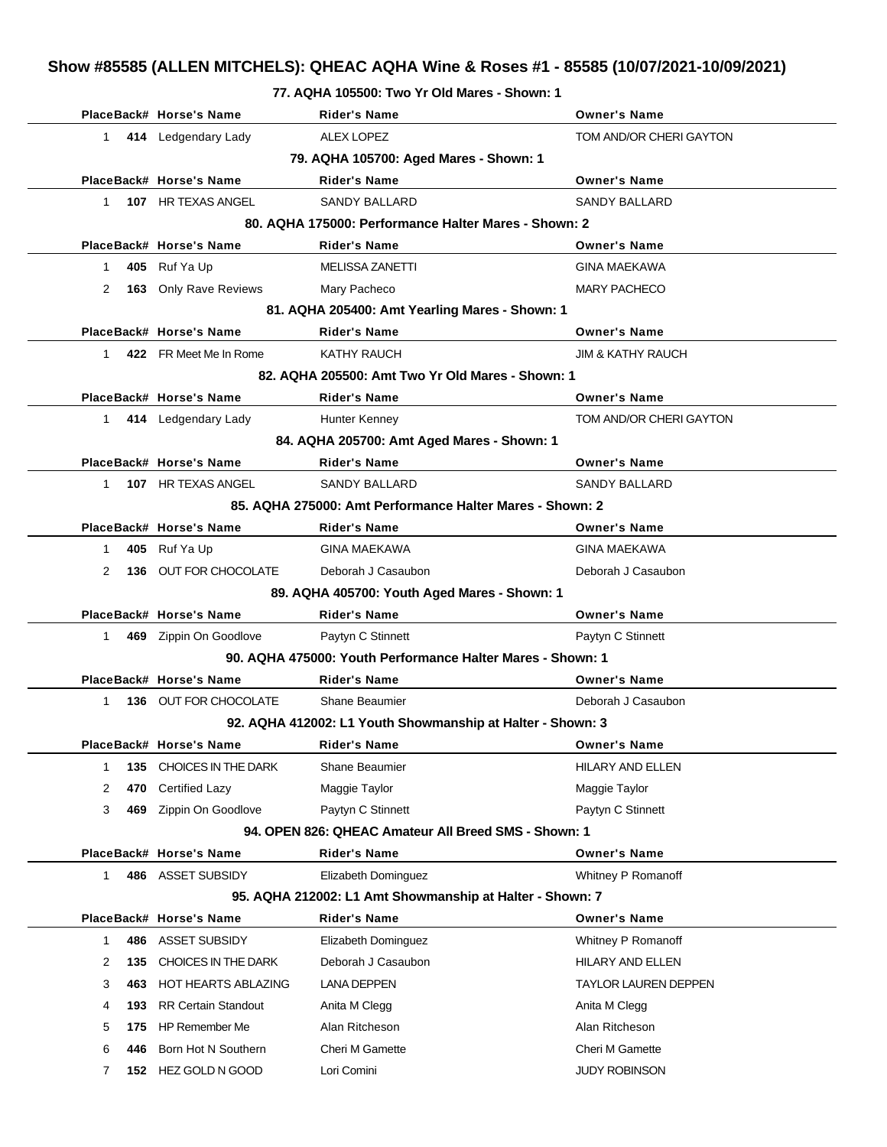|              |     |                            | 77. AU HA 105500: I WO TT OIG Mares - Shown: 1             |                              |
|--------------|-----|----------------------------|------------------------------------------------------------|------------------------------|
|              |     | PlaceBack# Horse's Name    | <b>Rider's Name</b>                                        | <b>Owner's Name</b>          |
| $\mathbf{1}$ |     | 414 Ledgendary Lady        | <b>ALEX LOPEZ</b>                                          | TOM AND/OR CHERI GAYTON      |
|              |     |                            | 79. AQHA 105700: Aged Mares - Shown: 1                     |                              |
|              |     | PlaceBack# Horse's Name    | <b>Rider's Name</b>                                        | <b>Owner's Name</b>          |
| $\mathbf{1}$ |     | 107 HR TEXAS ANGEL         | <b>SANDY BALLARD</b>                                       | <b>SANDY BALLARD</b>         |
|              |     |                            | 80. AQHA 175000: Performance Halter Mares - Shown: 2       |                              |
|              |     | PlaceBack# Horse's Name    | <b>Rider's Name</b>                                        | <b>Owner's Name</b>          |
| 1            |     | 405 Ruf Ya Up              | <b>MELISSA ZANETTI</b>                                     | <b>GINA MAEKAWA</b>          |
| 2            |     | 163 Only Rave Reviews      | Mary Pacheco                                               | <b>MARY PACHECO</b>          |
|              |     |                            | 81. AQHA 205400: Amt Yearling Mares - Shown: 1             |                              |
|              |     | PlaceBack# Horse's Name    | <b>Rider's Name</b>                                        | <b>Owner's Name</b>          |
| $\mathbf 1$  |     | 422 FR Meet Me In Rome     | <b>KATHY RAUCH</b>                                         | <b>JIM &amp; KATHY RAUCH</b> |
|              |     |                            | 82. AQHA 205500: Amt Two Yr Old Mares - Shown: 1           |                              |
|              |     | PlaceBack# Horse's Name    | <b>Rider's Name</b>                                        | <b>Owner's Name</b>          |
| 1            |     | 414 Ledgendary Lady        | Hunter Kenney                                              | TOM AND/OR CHERI GAYTON      |
|              |     |                            | 84. AQHA 205700: Amt Aged Mares - Shown: 1                 |                              |
|              |     | PlaceBack# Horse's Name    | <b>Rider's Name</b>                                        | <b>Owner's Name</b>          |
| 1            |     | 107 HR TEXAS ANGEL         | <b>SANDY BALLARD</b>                                       | <b>SANDY BALLARD</b>         |
|              |     |                            | 85. AQHA 275000: Amt Performance Halter Mares - Shown: 2   |                              |
|              |     | PlaceBack# Horse's Name    | <b>Rider's Name</b>                                        | <b>Owner's Name</b>          |
| $\mathbf{1}$ |     | 405 Ruf Ya Up              | <b>GINA MAEKAWA</b>                                        | <b>GINA MAEKAWA</b>          |
| 2            |     | 136 OUT FOR CHOCOLATE      | Deborah J Casaubon                                         | Deborah J Casaubon           |
|              |     |                            | 89. AQHA 405700: Youth Aged Mares - Shown: 1               |                              |
|              |     | PlaceBack# Horse's Name    | <b>Rider's Name</b>                                        | <b>Owner's Name</b>          |
| $\mathbf{1}$ |     | 469 Zippin On Goodlove     | Paytyn C Stinnett                                          | Paytyn C Stinnett            |
|              |     |                            | 90. AQHA 475000: Youth Performance Halter Mares - Shown: 1 |                              |
|              |     | PlaceBack# Horse's Name    | <b>Rider's Name</b>                                        | <b>Owner's Name</b>          |
| $\mathbf 1$  |     | 136 OUT FOR CHOCOLATE      | Shane Beaumier                                             | Deborah J Casaubon           |
|              |     |                            | 92. AQHA 412002: L1 Youth Showmanship at Halter - Shown: 3 |                              |
|              |     | PlaceBack# Horse's Name    | <b>Rider's Name</b>                                        | Owner's Name                 |
| 1            | 135 | CHOICES IN THE DARK        | <b>Shane Beaumier</b>                                      | HILARY AND ELLEN             |
| 2            | 470 | <b>Certified Lazy</b>      | Maggie Taylor                                              | Maggie Taylor                |
| 3            | 469 | Zippin On Goodlove         | Paytyn C Stinnett                                          | Paytyn C Stinnett            |
|              |     |                            | 94. OPEN 826: QHEAC Amateur All Breed SMS - Shown: 1       |                              |
|              |     | PlaceBack# Horse's Name    | <b>Rider's Name</b>                                        | <b>Owner's Name</b>          |
| $\mathbf{1}$ |     | 486 ASSET SUBSIDY          | Elizabeth Dominguez                                        | Whitney P Romanoff           |
|              |     |                            | 95. AQHA 212002: L1 Amt Showmanship at Halter - Shown: 7   |                              |
|              |     | PlaceBack# Horse's Name    | Rider's Name                                               | <b>Owner's Name</b>          |
| $\mathbf{1}$ | 486 | <b>ASSET SUBSIDY</b>       | Elizabeth Dominguez                                        | Whitney P Romanoff           |
| 2            | 135 | CHOICES IN THE DARK        | Deborah J Casaubon                                         | HILARY AND ELLEN             |
| 3            | 463 | <b>HOT HEARTS ABLAZING</b> | <b>LANA DEPPEN</b>                                         | <b>TAYLOR LAUREN DEPPEN</b>  |
| 4            | 193 | <b>RR Certain Standout</b> | Anita M Clegg                                              | Anita M Clegg                |
| 5            | 175 | <b>HP Remember Me</b>      | Alan Ritcheson                                             | Alan Ritcheson               |
| 6            | 446 | Born Hot N Southern        | Cheri M Gamette                                            | Cheri M Gamette              |

7 **152** HEZ GOLD N GOOD Lori Comini JUDY ROBINSON

# **77. AQHA 105500: Two Yr Old Mares - Shown: 1**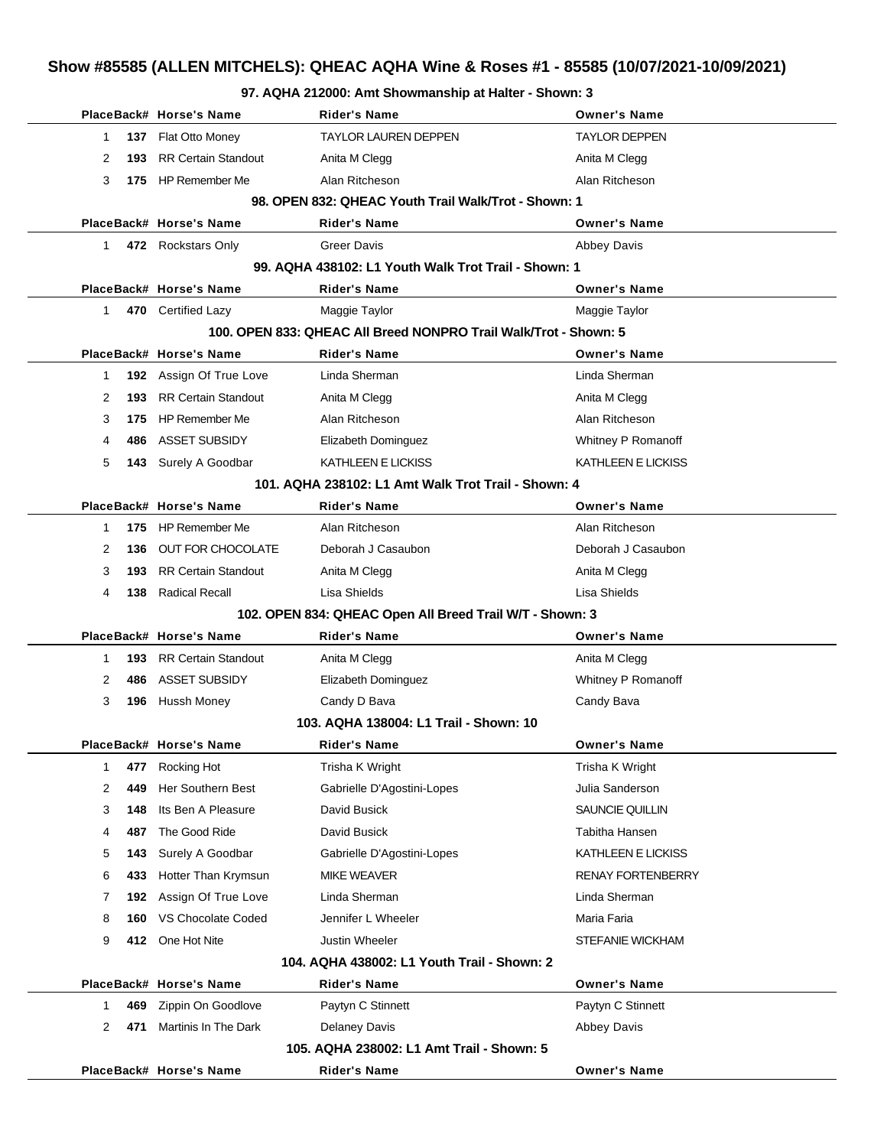**97. AQHA 212000: Amt Showmanship at Halter - Shown: 3**

|              | PlaceBack# Horse's Name        | Rider's Name                                                     | <b>Owner's Name</b>      |
|--------------|--------------------------------|------------------------------------------------------------------|--------------------------|
| 1            | 137 Flat Otto Money            | <b>TAYLOR LAUREN DEPPEN</b>                                      | <b>TAYLOR DEPPEN</b>     |
| 2<br>193     | <b>RR Certain Standout</b>     | Anita M Clegg                                                    | Anita M Clegg            |
| 3            | 175 HP Remember Me             | Alan Ritcheson                                                   | Alan Ritcheson           |
|              |                                | 98. OPEN 832: QHEAC Youth Trail Walk/Trot - Shown: 1             |                          |
|              | PlaceBack# Horse's Name        | <b>Rider's Name</b>                                              | <b>Owner's Name</b>      |
| 1            | 472 Rockstars Only             | <b>Greer Davis</b>                                               | <b>Abbey Davis</b>       |
|              |                                | 99. AQHA 438102: L1 Youth Walk Trot Trail - Shown: 1             |                          |
|              | PlaceBack# Horse's Name        | Rider's Name                                                     | <b>Owner's Name</b>      |
| $\mathbf{1}$ | 470 Certified Lazy             | Maggie Taylor                                                    | Maggie Taylor            |
|              |                                | 100. OPEN 833: QHEAC All Breed NONPRO Trail Walk/Trot - Shown: 5 |                          |
|              | PlaceBack# Horse's Name        | <b>Rider's Name</b>                                              | <b>Owner's Name</b>      |
| 1            | 192 Assign Of True Love        | Linda Sherman                                                    | Linda Sherman            |
| 2<br>193     | <b>RR Certain Standout</b>     | Anita M Clegg                                                    | Anita M Clegg            |
| 3<br>175     | <b>HP Remember Me</b>          | Alan Ritcheson                                                   | Alan Ritcheson           |
| 486<br>4     | ASSET SUBSIDY                  | Elizabeth Dominguez                                              | Whitney P Romanoff       |
| 5            | 143 Surely A Goodbar           | KATHLEEN E LICKISS                                               | KATHLEEN E LICKISS       |
|              |                                | 101. AQHA 238102: L1 Amt Walk Trot Trail - Shown: 4              |                          |
|              | PlaceBack# Horse's Name        | Rider's Name                                                     | <b>Owner's Name</b>      |
| 1            | 175 HP Remember Me             | Alan Ritcheson                                                   | Alan Ritcheson           |
| 2<br>136     | OUT FOR CHOCOLATE              | Deborah J Casaubon                                               | Deborah J Casaubon       |
| 3<br>193     | <b>RR Certain Standout</b>     | Anita M Clegg                                                    | Anita M Clegg            |
| 4            | <b>138</b> Radical Recall      | Lisa Shields                                                     | Lisa Shields             |
|              |                                | 102. OPEN 834: QHEAC Open All Breed Trail W/T - Shown: 3         |                          |
|              | PlaceBack# Horse's Name        | <b>Rider's Name</b>                                              | <b>Owner's Name</b>      |
| 1            | <b>193</b> RR Certain Standout | Anita M Clegg                                                    | Anita M Clegg            |
| 2<br>486     | ASSET SUBSIDY                  | Elizabeth Dominguez                                              | Whitney P Romanoff       |
| 3            | 196 Hussh Money                | Candy D Bava                                                     | Candy Bava               |
|              |                                | 103. AQHA 138004: L1 Trail - Shown: 10                           |                          |
|              | PlaceBack# Horse's Name        | Rider's Name                                                     | <b>Owner's Name</b>      |
| 477<br>1     | Rocking Hot                    | Trisha K Wright                                                  | Trisha K Wright          |
| 2<br>449     | <b>Her Southern Best</b>       | Gabrielle D'Agostini-Lopes                                       | Julia Sanderson          |
| 3<br>148     | Its Ben A Pleasure             | David Busick                                                     | SAUNCIE QUILLIN          |
| 487<br>4     | The Good Ride                  | David Busick                                                     | Tabitha Hansen           |
| 5<br>143     | Surely A Goodbar               | Gabrielle D'Agostini-Lopes                                       | KATHLEEN E LICKISS       |
| 6<br>433     | Hotter Than Krymsun            | <b>MIKE WEAVER</b>                                               | <b>RENAY FORTENBERRY</b> |
| 7<br>192     | Assign Of True Love            | Linda Sherman                                                    | Linda Sherman            |
| 8<br>160     | VS Chocolate Coded             | Jennifer L Wheeler                                               | Maria Faria              |
| 9            | 412 One Hot Nite               | Justin Wheeler                                                   | STEFANIE WICKHAM         |
|              |                                | 104. AQHA 438002: L1 Youth Trail - Shown: 2                      |                          |
|              | PlaceBack# Horse's Name        | <b>Rider's Name</b>                                              | <b>Owner's Name</b>      |
| 469<br>1     | Zippin On Goodlove             | Paytyn C Stinnett                                                | Paytyn C Stinnett        |
| 2<br>471     | Martinis In The Dark           | <b>Delaney Davis</b>                                             | <b>Abbey Davis</b>       |
|              |                                | 105. AQHA 238002: L1 Amt Trail - Shown: 5                        |                          |
|              | PlaceBack# Horse's Name        | <b>Rider's Name</b>                                              | <b>Owner's Name</b>      |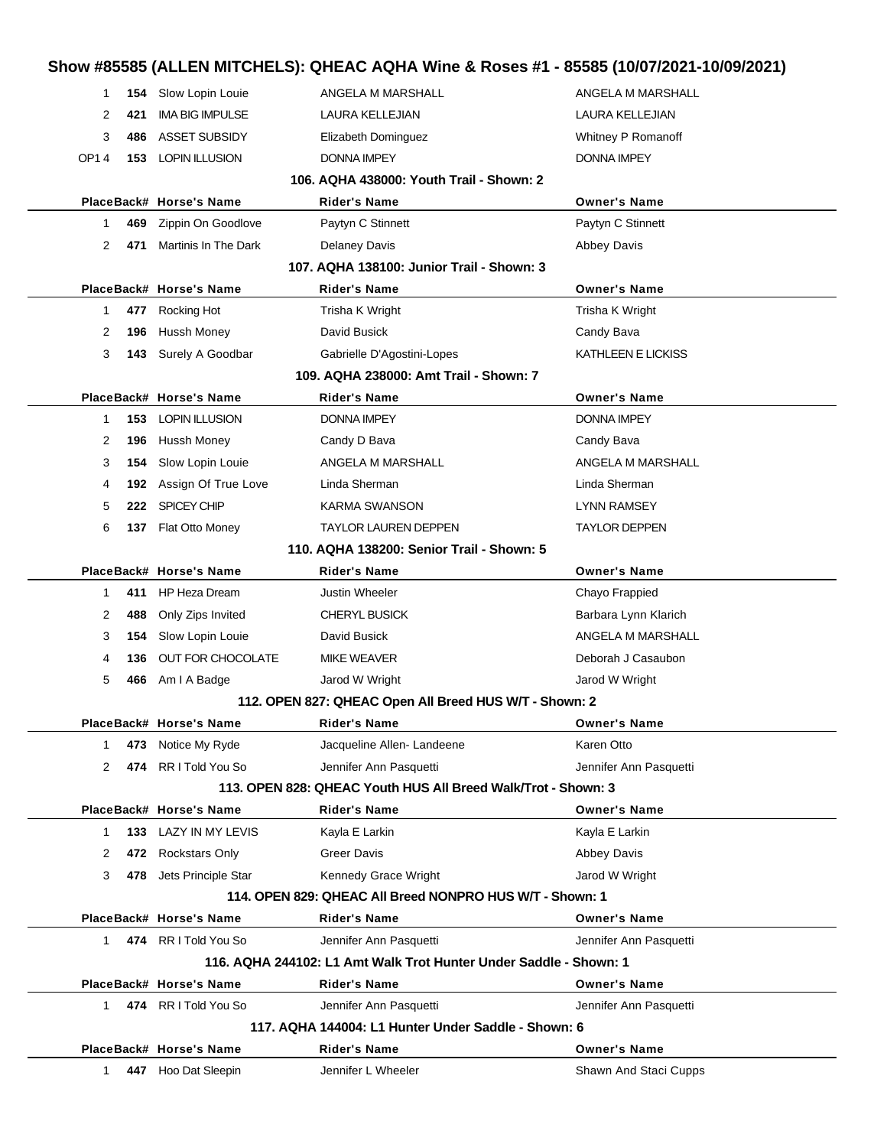| 1            | Slow Lopin Louie<br>154      | ANGELA M MARSHALL                                                 | ANGELA M MARSHALL      |  |
|--------------|------------------------------|-------------------------------------------------------------------|------------------------|--|
| 2<br>421     | <b>IMA BIG IMPULSE</b>       | LAURA KELLEJIAN                                                   | LAURA KELLEJIAN        |  |
| 3            | <b>ASSET SUBSIDY</b><br>486  | Elizabeth Dominguez                                               | Whitney P Romanoff     |  |
| OP14         | <b>153 LOPIN ILLUSION</b>    | DONNA IMPEY                                                       | DONNA IMPEY            |  |
|              |                              | 106. AQHA 438000: Youth Trail - Shown: 2                          |                        |  |
|              | PlaceBack# Horse's Name      | Rider's Name                                                      | <b>Owner's Name</b>    |  |
| 1            | 469<br>Zippin On Goodlove    | Paytyn C Stinnett                                                 | Paytyn C Stinnett      |  |
| 2<br>471     | Martinis In The Dark         | <b>Delaney Davis</b>                                              | <b>Abbey Davis</b>     |  |
|              |                              | 107. AQHA 138100: Junior Trail - Shown: 3                         |                        |  |
|              | PlaceBack# Horse's Name      | Rider's Name                                                      | <b>Owner's Name</b>    |  |
| 1            | 477 Rocking Hot              | Trisha K Wright                                                   | Trisha K Wright        |  |
| 2<br>196     | <b>Hussh Money</b>           | David Busick                                                      | Candy Bava             |  |
| 3            | 143<br>Surely A Goodbar      | Gabrielle D'Agostini-Lopes                                        | KATHLEEN E LICKISS     |  |
|              |                              | 109. AQHA 238000: Amt Trail - Shown: 7                            |                        |  |
|              | PlaceBack# Horse's Name      | <b>Rider's Name</b>                                               | <b>Owner's Name</b>    |  |
| 1            | <b>LOPIN ILLUSION</b><br>153 | DONNA IMPEY                                                       | <b>DONNA IMPEY</b>     |  |
| 2<br>196     | Hussh Money                  | Candy D Bava                                                      | Candy Bava             |  |
| 3            | Slow Lopin Louie<br>154      | ANGELA M MARSHALL                                                 | ANGELA M MARSHALL      |  |
| 4            | 192 Assign Of True Love      | Linda Sherman                                                     | Linda Sherman          |  |
| 5            | <b>SPICEY CHIP</b><br>222    | KARMA SWANSON                                                     | LYNN RAMSEY            |  |
| 6            | Flat Otto Money<br>137       | TAYLOR LAUREN DEPPEN                                              | TAYLOR DEPPEN          |  |
|              |                              | 110. AQHA 138200: Senior Trail - Shown: 5                         |                        |  |
|              | PlaceBack# Horse's Name      | <b>Rider's Name</b>                                               | <b>Owner's Name</b>    |  |
| 1            | 411<br><b>HP Heza Dream</b>  | <b>Justin Wheeler</b>                                             | Chayo Frappied         |  |
| 2<br>488     | Only Zips Invited            | <b>CHERYL BUSICK</b>                                              | Barbara Lynn Klarich   |  |
| 3            | Slow Lopin Louie<br>154      | David Busick                                                      | ANGELA M MARSHALL      |  |
| 4<br>136     | OUT FOR CHOCOLATE            | <b>MIKE WEAVER</b>                                                | Deborah J Casaubon     |  |
| 5            | Am I A Badge<br>466          | Jarod W Wright                                                    | Jarod W Wright         |  |
|              |                              | 112. OPEN 827: QHEAC Open All Breed HUS W/T - Shown: 2            |                        |  |
|              | PlaceBack# Horse's Name      | Rider's Name                                                      | Owner's Name           |  |
| 1            | Notice My Ryde<br>473        | Jacqueline Allen-Landeene                                         | Karen Otto             |  |
| 2            | 474 RR I Told You So         | Jennifer Ann Pasquetti                                            | Jennifer Ann Pasquetti |  |
|              |                              | 113. OPEN 828: QHEAC Youth HUS All Breed Walk/Trot - Shown: 3     |                        |  |
|              | PlaceBack# Horse's Name      | <b>Rider's Name</b>                                               | <b>Owner's Name</b>    |  |
| 1            | 133 LAZY IN MY LEVIS         | Kayla E Larkin                                                    | Kayla E Larkin         |  |
| 2            | 472 Rockstars Only           | <b>Greer Davis</b>                                                | <b>Abbey Davis</b>     |  |
| 3            | 478 Jets Principle Star      | Kennedy Grace Wright                                              | Jarod W Wright         |  |
|              |                              | 114. OPEN 829: QHEAC AII Breed NONPRO HUS W/T - Shown: 1          |                        |  |
|              | PlaceBack# Horse's Name      | <b>Rider's Name</b>                                               | <b>Owner's Name</b>    |  |
| $\mathbf 1$  | 474 RR I Told You So         | Jennifer Ann Pasquetti                                            | Jennifer Ann Pasquetti |  |
|              |                              | 116. AQHA 244102: L1 Amt Walk Trot Hunter Under Saddle - Shown: 1 |                        |  |
|              | PlaceBack# Horse's Name      | <b>Rider's Name</b>                                               | <b>Owner's Name</b>    |  |
| $\mathbf{1}$ | 474 RR I Told You So         | Jennifer Ann Pasquetti                                            | Jennifer Ann Pasquetti |  |
|              |                              | 117. AQHA 144004: L1 Hunter Under Saddle - Shown: 6               |                        |  |
|              | PlaceBack# Horse's Name      | <b>Rider's Name</b>                                               | <b>Owner's Name</b>    |  |
| $\mathbf 1$  | 447 Hoo Dat Sleepin          | Jennifer L Wheeler                                                | Shawn And Staci Cupps  |  |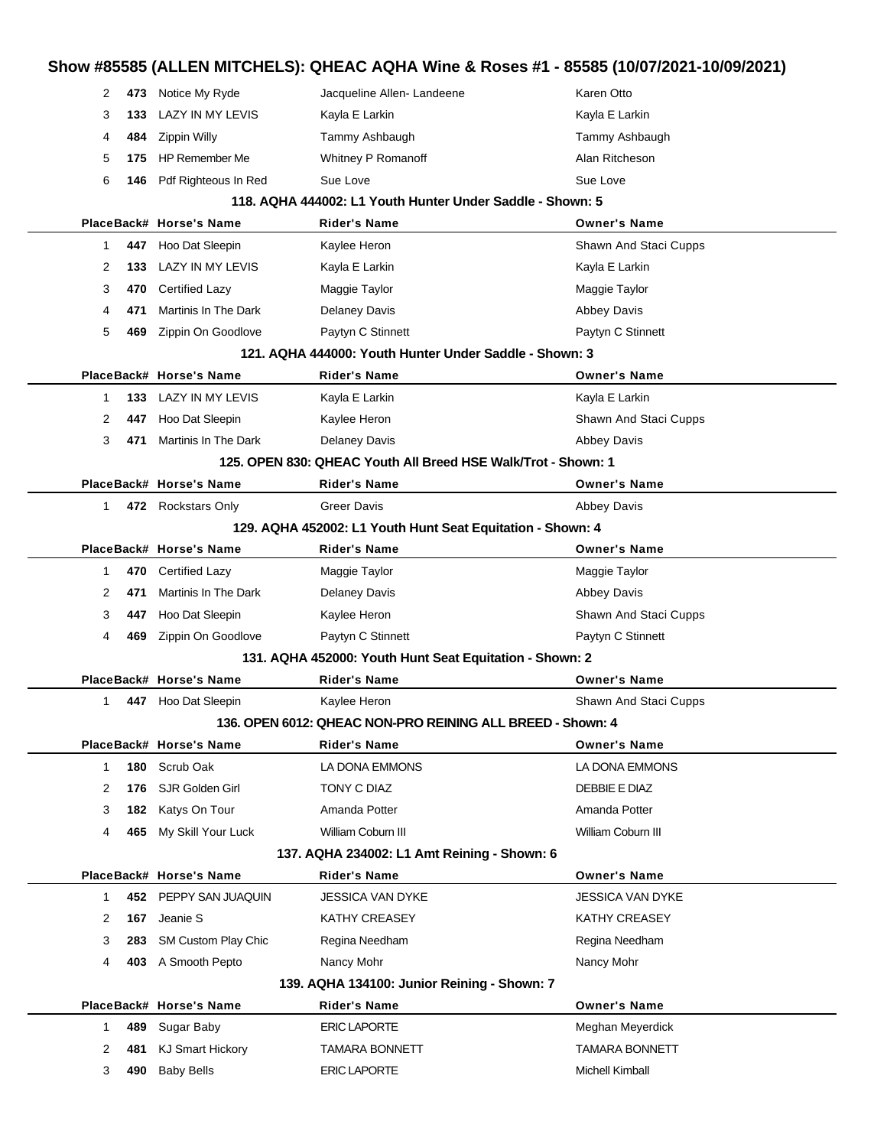| 2           |     | 473 Notice My Ryde      | Jacqueline Allen-Landeene                                     | Karen Otto              |
|-------------|-----|-------------------------|---------------------------------------------------------------|-------------------------|
| 3           | 133 | LAZY IN MY LEVIS        | Kayla E Larkin                                                | Kayla E Larkin          |
| 4           | 484 | Zippin Willy            | Tammy Ashbaugh                                                | Tammy Ashbaugh          |
| 5           | 175 | <b>HP Remember Me</b>   | Whitney P Romanoff                                            | Alan Ritcheson          |
| 6           | 146 | Pdf Righteous In Red    | Sue Love                                                      | Sue Love                |
|             |     |                         | 118. AQHA 444002: L1 Youth Hunter Under Saddle - Shown: 5     |                         |
|             |     | PlaceBack# Horse's Name | Rider's Name                                                  | <b>Owner's Name</b>     |
| 1           |     | 447 Hoo Dat Sleepin     | Kaylee Heron                                                  | Shawn And Staci Cupps   |
| 2           | 133 | LAZY IN MY LEVIS        | Kayla E Larkin                                                | Kayla E Larkin          |
| 3           |     | 470 Certified Lazy      | Maggie Taylor                                                 | Maggie Taylor           |
| 4           | 471 | Martinis In The Dark    | Delaney Davis                                                 | <b>Abbey Davis</b>      |
| 5           | 469 | Zippin On Goodlove      | Paytyn C Stinnett                                             | Paytyn C Stinnett       |
|             |     |                         | 121. AQHA 444000: Youth Hunter Under Saddle - Shown: 3        |                         |
|             |     | PlaceBack# Horse's Name | <b>Rider's Name</b>                                           | <b>Owner's Name</b>     |
| 1           |     | 133 LAZY IN MY LEVIS    | Kayla E Larkin                                                | Kayla E Larkin          |
| 2           | 447 | Hoo Dat Sleepin         | Kaylee Heron                                                  | Shawn And Staci Cupps   |
| 3           | 471 | Martinis In The Dark    | <b>Delaney Davis</b>                                          | <b>Abbey Davis</b>      |
|             |     |                         | 125. OPEN 830: QHEAC Youth All Breed HSE Walk/Trot - Shown: 1 |                         |
|             |     | PlaceBack# Horse's Name | Rider's Name                                                  | <b>Owner's Name</b>     |
| 1           |     | 472 Rockstars Only      | <b>Greer Davis</b>                                            | <b>Abbey Davis</b>      |
|             |     |                         | 129. AQHA 452002: L1 Youth Hunt Seat Equitation - Shown: 4    |                         |
|             |     | PlaceBack# Horse's Name | <b>Rider's Name</b>                                           | <b>Owner's Name</b>     |
| 1           |     | 470 Certified Lazy      | Maggie Taylor                                                 | Maggie Taylor           |
| 2           | 471 | Martinis In The Dark    | <b>Delaney Davis</b>                                          | <b>Abbey Davis</b>      |
| 3           | 447 | Hoo Dat Sleepin         | Kaylee Heron                                                  | Shawn And Staci Cupps   |
| 4           | 469 | Zippin On Goodlove      | Paytyn C Stinnett                                             | Paytyn C Stinnett       |
|             |     |                         | 131. AQHA 452000: Youth Hunt Seat Equitation - Shown: 2       |                         |
|             |     | PlaceBack# Horse's Name | Rider's Name                                                  | <b>Owner's Name</b>     |
| 1           |     | 447 Hoo Dat Sleepin     | Kaylee Heron                                                  | Shawn And Staci Cupps   |
|             |     |                         | 136, OPEN 6012: OHEAC NON-PRO REINING ALL BREED - Shown: 4    |                         |
|             |     | PlaceBack# Horse's Name | Rider's Name                                                  | <b>Owner's Name</b>     |
| $\mathbf 1$ |     | 180 Scrub Oak           | LA DONA EMMONS                                                | LA DONA EMMONS          |
| 2           |     | 176 SJR Golden Girl     | TONY C DIAZ                                                   | DEBBIE E DIAZ           |
| 3           |     | 182 Katys On Tour       | Amanda Potter                                                 | Amanda Potter           |
| 4           |     | 465 My Skill Your Luck  | William Coburn III                                            | William Coburn III      |
|             |     |                         | 137. AQHA 234002: L1 Amt Reining - Shown: 6                   |                         |
|             |     | PlaceBack# Horse's Name | <b>Rider's Name</b>                                           | <b>Owner's Name</b>     |
| 1           |     | 452 PEPPY SAN JUAQUIN   | JESSICA VAN DYKE                                              | <b>JESSICA VAN DYKE</b> |
| 2           |     | 167 Jeanie S            | KATHY CREASEY                                                 | KATHY CREASEY           |
| 3           |     | 283 SM Custom Play Chic | Regina Needham                                                | Regina Needham          |
| 4           |     | 403 A Smooth Pepto      | Nancy Mohr                                                    | Nancy Mohr              |
|             |     |                         | 139. AQHA 134100: Junior Reining - Shown: 7                   |                         |
|             |     | PlaceBack# Horse's Name | Rider's Name                                                  | <b>Owner's Name</b>     |
| $\mathbf 1$ | 489 | Sugar Baby              | <b>ERIC LAPORTE</b>                                           | Meghan Meyerdick        |
| 2           |     | 481 KJ Smart Hickory    | TAMARA BONNETT                                                | <b>TAMARA BONNETT</b>   |
| 3           | 490 | <b>Baby Bells</b>       | <b>ERIC LAPORTE</b>                                           | Michell Kimball         |
|             |     |                         |                                                               |                         |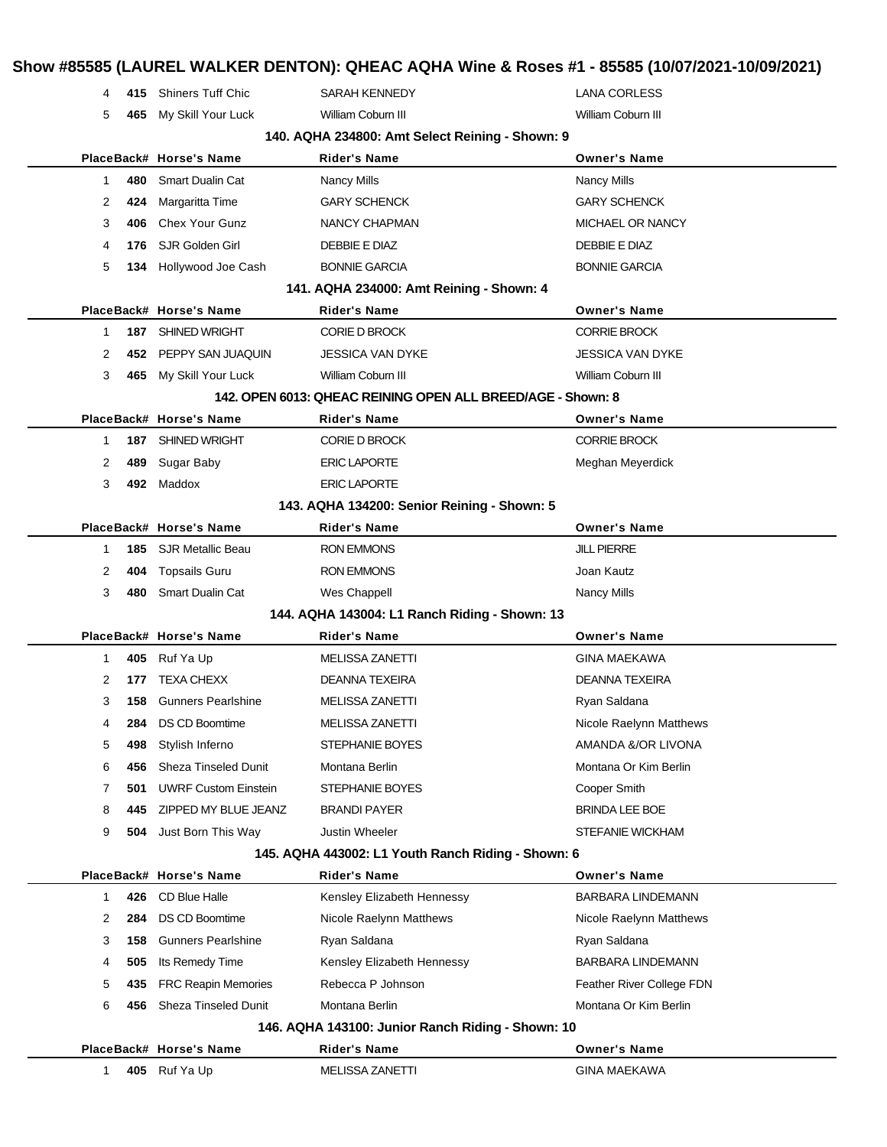# **Show #85585 (LAUREL WALKER DENTON): QHEAC AQHA Wine & Roses #1 - 85585 (10/07/2021-10/09/2021) 415** Shiners Tuff Chic SARAH KENNEDY LANA CORLESS **465** My Skill Your Luck William Coburn III William Coburn III **140. AQHA 234800: Amt Select Reining - Shown: 9 PlaceBack# Horse's Name Rider's Name Owner's Name 480** Smart Dualin Cat **Nancy Mills** Nancy Mills Nancy Mills **424** Margaritta Time **GARY SCHENCK** GARY SCHENCK **406** Chex Your Gunz **NANCY CHAPMAN** MICHAEL OR NANCY **176** SJR Golden Girl DEBBIE E DIAZ DEBBIE E DIAZ **134** Hollywood Joe Cash BONNIE GARCIA BONNIE GARCIA **141. AQHA 234000: Amt Reining - Shown: 4 PlaceBack# Horse's Name Rider's Name Owner's Name 187** SHINED WRIGHT CORIE D BROCK CORRIE BROCK **452** PEPPY SAN JUAQUIN JESSICA VAN DYKE JESSICA VAN DYKE **465** My Skill Your Luck William Coburn III William Coburn III **142. OPEN 6013: QHEAC REINING OPEN ALL BREED/AGE - Shown: 8 PlaceBack# Horse's Name Rider's Name Owner's Name 187** SHINED WRIGHT **CORIE D BROCK** CORPORTED BROOK **489** Sugar Baby **ERIC LAPORTE** Meghan Meyerdick **492** Maddox ERIC LAPORTE **143. AQHA 134200: Senior Reining - Shown: 5 PlaceBack# Horse's Name Rider's Name Owner's Name 185** SJR Metallic Beau RON EMMONS JILL PIERRE **404** Topsails Guru **CON EMMONS CON** EMMONS **CONSIDENT CON 480** Smart Dualin Cat Wes Chappell Nancy Mills **144. AQHA 143004: L1 Ranch Riding - Shown: 13 PlaceBack# Horse's Name Rider's Name Owner's Name 405** Ruf Ya Up **MELISSA ZANETTI** GINA MAEKAWA **177** TEXA CHEXX DEANNA TEXEIRA DEANNA TEXEIRA **158** Gunners Pearlshine MELISSA ZANETTI Ryan Saldana **284** DS CD Boomtime MELISSA ZANETTI NICOLE Raelynn Matthews **498** Stylish Inferno STEPHANIE BOYES AMANDA &/OR LIVONA **456** Sheza Tinseled Dunit Montana Berlin Montana Or Kim Berlin **501** UWRF Custom Einstein STEPHANIE BOYES STEER COOPER Smith **445** ZIPPED MY BLUE JEANZ BRANDI PAYER BRINDA LEE BOE **504** Just Born This Way Justin Wheeler STEFANIE WICKHAM **145. AQHA 443002: L1 Youth Ranch Riding - Shown: 6 PlaceBack# Horse's Name Rider's Name Owner's Name 426** CD Blue Halle **Kensley Elizabeth Hennessy** BARBARA LINDEMANN **284** DS CD Boomtime Nicole Raelynn Matthews Nicole Raelynn Matthews **158** Gunners Pearlshine Ryan Saldana Ryan Saldana Ryan Saldana **505** Its Remedy Time Kensley Elizabeth Hennessy BARBARA LINDEMANN **435** FRC Reapin Memories Rebecca P Johnson Feather River College FDN **456** Sheza Tinseled Dunit Montana Berlin Montana Or Kim Berlin **146. AQHA 143100: Junior Ranch Riding - Shown: 10 PlaceBack# Horse's Name Rider's Name Owner's Name 405** Ruf Ya Up **MELISSA ZANETTI** GINA MAEKAWA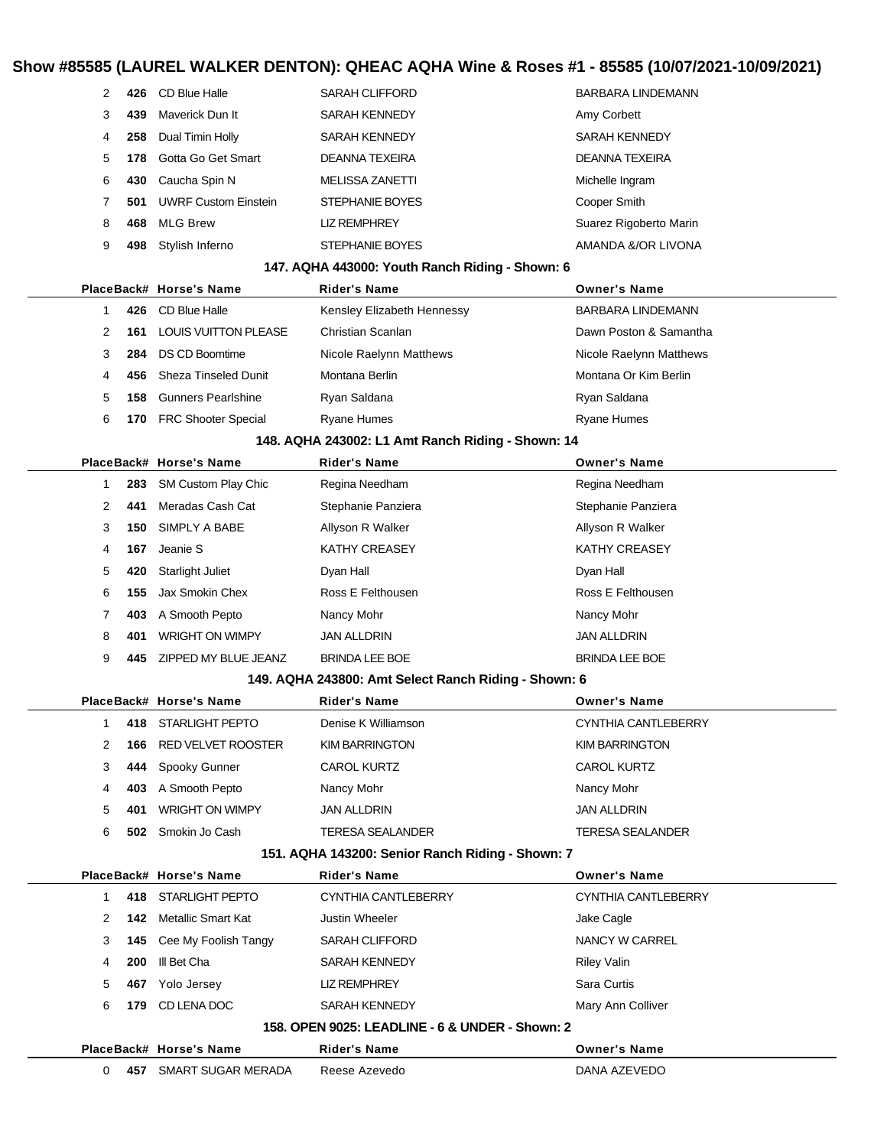#### **Show #85585 (LAUREL WALKER DENTON): QHEAC AQHA Wine & Roses #1 - 85585 (10/07/2021-10/09/2021)**

| 2           | 426 | CD Blue Halle                 | <b>SARAH CLIFFORD</b>                                | BARBARA LINDEMANN        |
|-------------|-----|-------------------------------|------------------------------------------------------|--------------------------|
| 3           | 439 | Maverick Dun It               | <b>SARAH KENNEDY</b>                                 | Amy Corbett              |
| 4           | 258 | Dual Timin Holly              | SARAH KENNEDY                                        | SARAH KENNEDY            |
| 5           | 178 | Gotta Go Get Smart            | DEANNA TEXEIRA                                       | DEANNA TEXEIRA           |
| 6           | 430 | Caucha Spin N                 | <b>MELISSA ZANETTI</b>                               | Michelle Ingram          |
| 7           | 501 | <b>UWRF Custom Einstein</b>   | STEPHANIE BOYES                                      | Cooper Smith             |
| 8           | 468 | <b>MLG Brew</b>               | <b>LIZ REMPHREY</b>                                  | Suarez Rigoberto Marin   |
| 9           | 498 | Stylish Inferno               | STEPHANIE BOYES                                      | AMANDA &/OR LIVONA       |
|             |     |                               | 147. AQHA 443000: Youth Ranch Riding - Shown: 6      |                          |
|             |     | PlaceBack# Horse's Name       | <b>Rider's Name</b>                                  | <b>Owner's Name</b>      |
| 1           | 426 | CD Blue Halle                 | Kensley Elizabeth Hennessy                           | <b>BARBARA LINDEMANN</b> |
| 2           | 161 | <b>LOUIS VUITTON PLEASE</b>   | Christian Scanlan                                    | Dawn Poston & Samantha   |
| 3           | 284 | <b>DS CD Boomtime</b>         | Nicole Raelynn Matthews                              | Nicole Raelynn Matthews  |
| 4           | 456 | <b>Sheza Tinseled Dunit</b>   | Montana Berlin                                       | Montana Or Kim Berlin    |
| 5           | 158 | <b>Gunners Pearlshine</b>     | Ryan Saldana                                         | Ryan Saldana             |
| 6           | 170 | <b>FRC Shooter Special</b>    | <b>Ryane Humes</b>                                   | <b>Ryane Humes</b>       |
|             |     |                               | 148. AQHA 243002: L1 Amt Ranch Riding - Shown: 14    |                          |
|             |     | PlaceBack# Horse's Name       | <b>Rider's Name</b>                                  | <b>Owner's Name</b>      |
| 1           | 283 | <b>SM Custom Play Chic</b>    | Regina Needham                                       | Regina Needham           |
| 2           | 441 | Meradas Cash Cat              | Stephanie Panziera                                   | Stephanie Panziera       |
| 3           | 150 | SIMPLY A BABE                 | Allyson R Walker                                     | Allyson R Walker         |
| 4           | 167 | Jeanie S                      | <b>KATHY CREASEY</b>                                 | KATHY CREASEY            |
| 5           | 420 | <b>Starlight Juliet</b>       | Dyan Hall                                            | Dyan Hall                |
| 6           | 155 | Jax Smokin Chex               | Ross E Felthousen                                    | Ross E Felthousen        |
| 7           | 403 | A Smooth Pepto                | Nancy Mohr                                           | Nancy Mohr               |
| 8           | 401 | <b>WRIGHT ON WIMPY</b>        | <b>JAN ALLDRIN</b>                                   | JAN ALLDRIN              |
| 9           | 445 | ZIPPED MY BLUE JEANZ          | <b>BRINDA LEE BOE</b>                                | <b>BRINDA LEE BOE</b>    |
|             |     |                               | 149. AQHA 243800: Amt Select Ranch Riding - Shown: 6 |                          |
|             |     | PlaceBack# Horse's Name       | <b>Rider's Name</b>                                  | <b>Owner's Name</b>      |
|             |     | 418 STARLIGHT PEPTO           | Denise K Williamson                                  | CYNTHIA CANTLEBERRY      |
| 2           | 166 | RED VELVET ROOSTER            | <b>KIM BARRINGTON</b>                                | KIM BARRINGTON           |
| 3           | 444 | Spooky Gunner                 | CAROL KURTZ                                          | CAROL KURTZ              |
| 4           | 403 | A Smooth Pepto                | Nancy Mohr                                           | Nancy Mohr               |
| 5           | 401 | <b>WRIGHT ON WIMPY</b>        | JAN ALLDRIN                                          | <b>JAN ALLDRIN</b>       |
| 6           |     | 502 Smokin Jo Cash            | <b>TERESA SEALANDER</b>                              | TERESA SEALANDER         |
|             |     |                               | 151. AQHA 143200: Senior Ranch Riding - Shown: 7     |                          |
|             |     | PlaceBack# Horse's Name       | <b>Rider's Name</b>                                  | <b>Owner's Name</b>      |
| $\mathbf 1$ |     | 418 STARLIGHT PEPTO           | CYNTHIA CANTLEBERRY                                  | CYNTHIA CANTLEBERRY      |
| 2           |     | <b>142</b> Metallic Smart Kat | Justin Wheeler                                       | Jake Cagle               |
| 3           | 145 | Cee My Foolish Tangy          | SARAH CLIFFORD                                       | <b>NANCY W CARREL</b>    |
| 4           | 200 | III Bet Cha                   | SARAH KENNEDY                                        | <b>Riley Valin</b>       |
| 5           | 467 | Yolo Jersey                   | <b>LIZ REMPHREY</b>                                  | Sara Curtis              |
| 6           | 179 | CD LENA DOC                   | SARAH KENNEDY                                        | Mary Ann Colliver        |
|             |     |                               | 158. OPEN 9025: LEADLINE - 6 & UNDER - Shown: 2      |                          |
|             |     | PlaceBack# Horse's Name       | <b>Rider's Name</b>                                  | <b>Owner's Name</b>      |
| 0           |     | 457 SMART SUGAR MERADA        | Reese Azevedo                                        | DANA AZEVEDO             |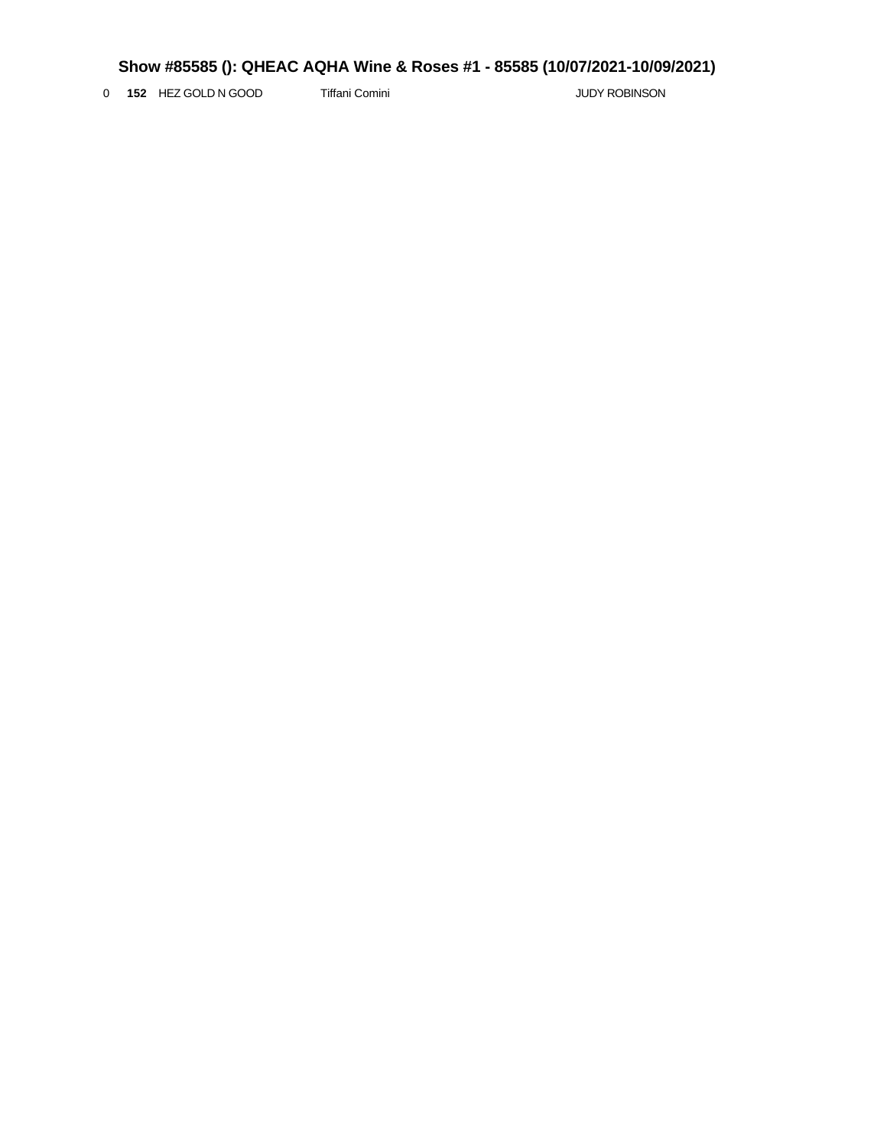0 **152** HEZ GOLD N GOOD Tiffani Comini **The Community Community** JUDY ROBINSON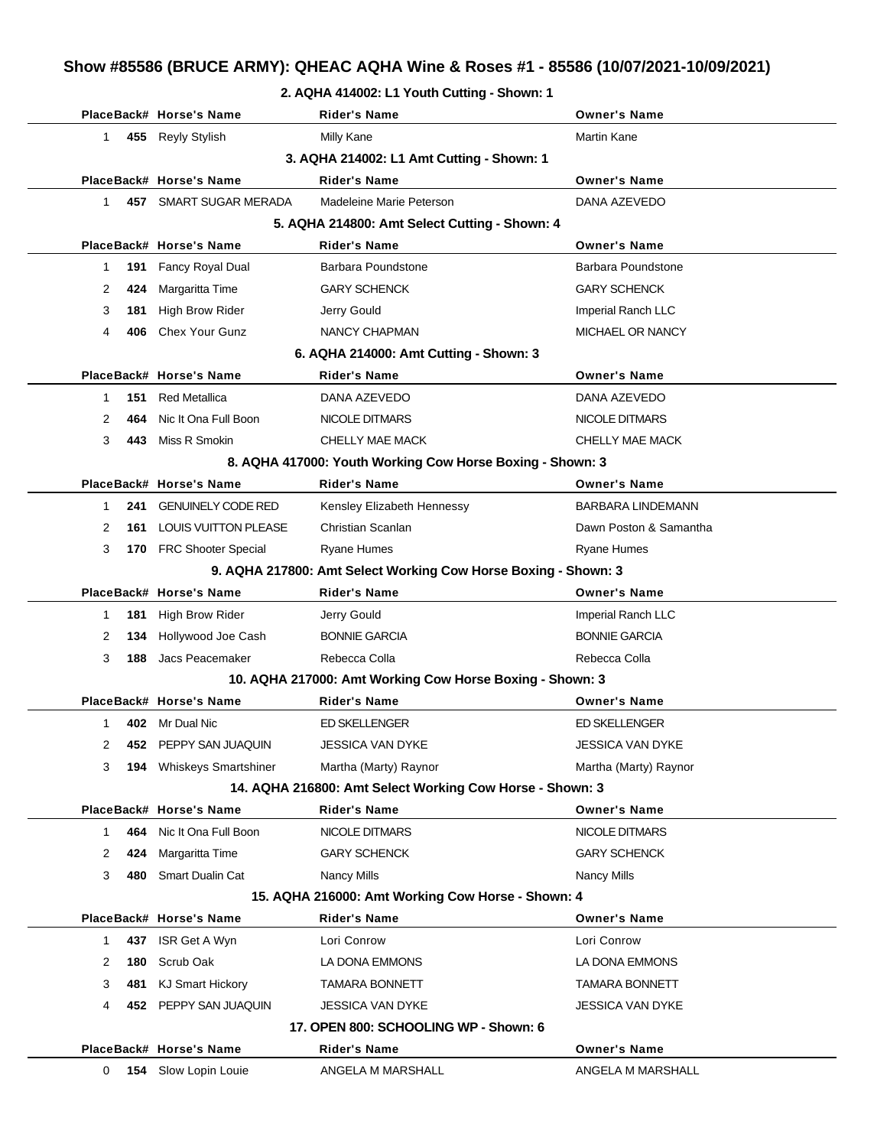# **Show #85586 (BRUCE ARMY): QHEAC AQHA Wine & Roses #1 - 85586 (10/07/2021-10/09/2021)**

#### **2. AQHA 414002: L1 Youth Cutting - Shown: 1**

|           | PlaceBack# Horse's Name                   | <b>Rider's Name</b>                                            | Owner's Name             |  |  |  |  |
|-----------|-------------------------------------------|----------------------------------------------------------------|--------------------------|--|--|--|--|
| 1         | 455 Reyly Stylish                         | <b>Milly Kane</b>                                              | <b>Martin Kane</b>       |  |  |  |  |
|           | 3. AQHA 214002: L1 Amt Cutting - Shown: 1 |                                                                |                          |  |  |  |  |
|           | PlaceBack# Horse's Name                   | <b>Rider's Name</b>                                            | <b>Owner's Name</b>      |  |  |  |  |
| 457<br>1  | SMART SUGAR MERADA                        | Madeleine Marie Peterson                                       | DANA AZEVEDO             |  |  |  |  |
|           |                                           | 5. AQHA 214800: Amt Select Cutting - Shown: 4                  |                          |  |  |  |  |
|           | PlaceBack# Horse's Name                   | <b>Rider's Name</b>                                            | <b>Owner's Name</b>      |  |  |  |  |
| 191<br>1  | Fancy Royal Dual                          | Barbara Poundstone                                             | Barbara Poundstone       |  |  |  |  |
| 2<br>424  | Margaritta Time                           | <b>GARY SCHENCK</b>                                            | <b>GARY SCHENCK</b>      |  |  |  |  |
| 3<br>181  | <b>High Brow Rider</b>                    | Jerry Gould                                                    | Imperial Ranch LLC       |  |  |  |  |
| 406<br>4  | Chex Your Gunz                            | NANCY CHAPMAN                                                  | MICHAEL OR NANCY         |  |  |  |  |
|           |                                           | 6. AQHA 214000: Amt Cutting - Shown: 3                         |                          |  |  |  |  |
|           | PlaceBack# Horse's Name                   | <b>Rider's Name</b>                                            | <b>Owner's Name</b>      |  |  |  |  |
| 151<br>1  | <b>Red Metallica</b>                      | DANA AZEVEDO                                                   | DANA AZEVEDO             |  |  |  |  |
| 2<br>464  | Nic It Ona Full Boon                      | NICOLE DITMARS                                                 | NICOLE DITMARS           |  |  |  |  |
| 3<br>443  | Miss R Smokin                             | <b>CHELLY MAE MACK</b>                                         | CHELLY MAE MACK          |  |  |  |  |
|           |                                           | 8. AQHA 417000: Youth Working Cow Horse Boxing - Shown: 3      |                          |  |  |  |  |
|           | PlaceBack# Horse's Name                   | <b>Rider's Name</b>                                            | <b>Owner's Name</b>      |  |  |  |  |
| 241<br>1  | <b>GENUINELY CODE RED</b>                 | Kensley Elizabeth Hennessy                                     | <b>BARBARA LINDEMANN</b> |  |  |  |  |
| 2<br>161  | <b>LOUIS VUITTON PLEASE</b>               | Christian Scanlan                                              | Dawn Poston & Samantha   |  |  |  |  |
| 3<br>170  | <b>FRC Shooter Special</b>                | <b>Ryane Humes</b>                                             | <b>Ryane Humes</b>       |  |  |  |  |
|           |                                           | 9. AQHA 217800: Amt Select Working Cow Horse Boxing - Shown: 3 |                          |  |  |  |  |
|           | PlaceBack# Horse's Name                   | <b>Rider's Name</b>                                            | <b>Owner's Name</b>      |  |  |  |  |
| 181<br>1  | <b>High Brow Rider</b>                    | Jerry Gould                                                    | Imperial Ranch LLC       |  |  |  |  |
| 2<br>134  | Hollywood Joe Cash                        | <b>BONNIE GARCIA</b>                                           | <b>BONNIE GARCIA</b>     |  |  |  |  |
| 3<br>188  | Jacs Peacemaker                           | Rebecca Colla                                                  | Rebecca Colla            |  |  |  |  |
|           |                                           | 10. AQHA 217000: Amt Working Cow Horse Boxing - Shown: 3       |                          |  |  |  |  |
|           | PlaceBack# Horse's Name                   | Rider's Name                                                   | <b>Owner's Name</b>      |  |  |  |  |
| 402<br>1  | Mr Dual Nic                               | <b>ED SKELLENGER</b>                                           | ED SKELLENGER            |  |  |  |  |
| 2         | 452 PEPPY SAN JUAQUIN                     | JESSICA VAN DYKE                                               | JESSICA VAN DYKE         |  |  |  |  |
| 3<br>194  | <b>Whiskeys Smartshiner</b>               | Martha (Marty) Raynor                                          | Martha (Marty) Raynor    |  |  |  |  |
|           |                                           | 14. AQHA 216800: Amt Select Working Cow Horse - Shown: 3       |                          |  |  |  |  |
|           | PlaceBack# Horse's Name                   | <b>Rider's Name</b>                                            | <b>Owner's Name</b>      |  |  |  |  |
| 464<br>1  | Nic It Ona Full Boon                      | NICOLE DITMARS                                                 | NICOLE DITMARS           |  |  |  |  |
| 2<br>424  | Margaritta Time                           | <b>GARY SCHENCK</b>                                            | <b>GARY SCHENCK</b>      |  |  |  |  |
| 3<br>480  | <b>Smart Dualin Cat</b>                   | <b>Nancy Mills</b>                                             | <b>Nancy Mills</b>       |  |  |  |  |
|           |                                           | 15. AQHA 216000: Amt Working Cow Horse - Shown: 4              |                          |  |  |  |  |
|           | PlaceBack# Horse's Name                   | <b>Rider's Name</b>                                            | <b>Owner's Name</b>      |  |  |  |  |
| 437<br>1  | ISR Get A Wyn                             | Lori Conrow                                                    | Lori Conrow              |  |  |  |  |
| 2<br>180  | Scrub Oak                                 | LA DONA EMMONS                                                 | LA DONA EMMONS           |  |  |  |  |
| 3<br>481  | <b>KJ Smart Hickory</b>                   | <b>TAMARA BONNETT</b>                                          | <b>TAMARA BONNETT</b>    |  |  |  |  |
| 4<br>452. | PEPPY SAN JUAQUIN                         | <b>JESSICA VAN DYKE</b>                                        | <b>JESSICA VAN DYKE</b>  |  |  |  |  |
|           |                                           | 17. OPEN 800: SCHOOLING WP - Shown: 6                          |                          |  |  |  |  |
|           | PlaceBack# Horse's Name                   | <b>Rider's Name</b>                                            | <b>Owner's Name</b>      |  |  |  |  |
| 0<br>154  | Slow Lopin Louie                          | ANGELA M MARSHALL                                              | ANGELA M MARSHALL        |  |  |  |  |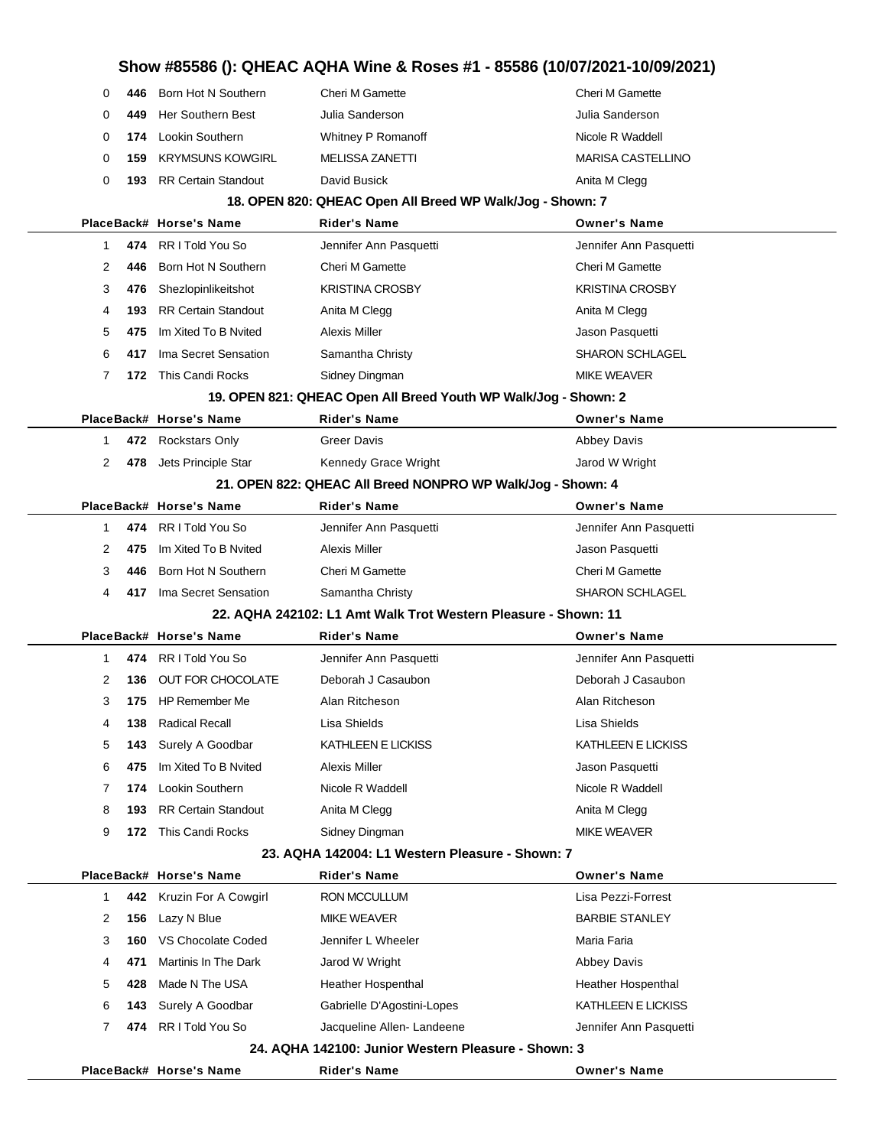|              |      |                            | Show #85586 (): QHEAC AQHA Wine & Roses #1 - 85586 (10/07/2021-10/09/2021) |                          |
|--------------|------|----------------------------|----------------------------------------------------------------------------|--------------------------|
| 0            | 446  | Born Hot N Southern        | Cheri M Gamette                                                            | Cheri M Gamette          |
| 0            | 449  | Her Southern Best          | Julia Sanderson                                                            | Julia Sanderson          |
| 0            | 174  | Lookin Southern            | Whitney P Romanoff                                                         | Nicole R Waddell         |
| 0            | 159  | <b>KRYMSUNS KOWGIRL</b>    | <b>MELISSA ZANETTI</b>                                                     | <b>MARISA CASTELLINO</b> |
| 0            | 193  | <b>RR Certain Standout</b> | David Busick                                                               | Anita M Clegg            |
|              |      |                            | 18. OPEN 820: QHEAC Open All Breed WP Walk/Jog - Shown: 7                  |                          |
|              |      | PlaceBack# Horse's Name    | <b>Rider's Name</b>                                                        | <b>Owner's Name</b>      |
| 1            | 474  | RR I Told You So           | Jennifer Ann Pasquetti                                                     | Jennifer Ann Pasquetti   |
| 2            | 446  | Born Hot N Southern        | Cheri M Gamette                                                            | <b>Cheri M Gamette</b>   |
| 3            | 476  | Shezlopinlikeitshot        | <b>KRISTINA CROSBY</b>                                                     | <b>KRISTINA CROSBY</b>   |
| 4            | 193  | <b>RR Certain Standout</b> | Anita M Clegg                                                              | Anita M Clegg            |
| 5            | 475  | Im Xited To B Nvited       | <b>Alexis Miller</b>                                                       | Jason Pasquetti          |
| 6            | 417  | Ima Secret Sensation       | Samantha Christy                                                           | <b>SHARON SCHLAGEL</b>   |
| 7            | 172. | This Candi Rocks           | Sidney Dingman                                                             | <b>MIKE WEAVER</b>       |
|              |      |                            | 19. OPEN 821: QHEAC Open All Breed Youth WP Walk/Jog - Shown: 2            |                          |
|              |      | PlaceBack# Horse's Name    | <b>Rider's Name</b>                                                        | <b>Owner's Name</b>      |
| 1            |      | 472 Rockstars Only         | <b>Greer Davis</b>                                                         | <b>Abbey Davis</b>       |
| 2            |      | 478 Jets Principle Star    | Kennedy Grace Wright                                                       | Jarod W Wright           |
|              |      |                            | 21. OPEN 822: QHEAC All Breed NONPRO WP Walk/Jog - Shown: 4                |                          |
|              |      | PlaceBack# Horse's Name    | Rider's Name                                                               | <b>Owner's Name</b>      |
| 1            | 474  | RR I Told You So           | Jennifer Ann Pasquetti                                                     | Jennifer Ann Pasquetti   |
| 2            | 475  | Im Xited To B Nvited       | <b>Alexis Miller</b>                                                       | Jason Pasquetti          |
| 3            | 446  | Born Hot N Southern        | <b>Cheri M Gamette</b>                                                     | Cheri M Gamette          |
| 4            | 417  | Ima Secret Sensation       | Samantha Christy                                                           | <b>SHARON SCHLAGEL</b>   |
|              |      |                            | 22. AQHA 242102: L1 Amt Walk Trot Western Pleasure - Shown: 11             |                          |
|              |      | PlaceBack# Horse's Name    | <b>Rider's Name</b>                                                        | <b>Owner's Name</b>      |
| 1            | 474  | RR I Told You So           | Jennifer Ann Pasquetti                                                     | Jennifer Ann Pasquetti   |
| 2            | 136  | OUT FOR CHOCOLATE          | Deborah J Casaubon                                                         | Deborah J Casaubon       |
| 3            | 175  | HP Remember Me             | Alan Ritcheson                                                             | Alan Ritcheson           |
| 4            | 138  | <b>Radical Recall</b>      | Lisa Shields                                                               | Lisa Shields             |
| 5            | 143  | Surely A Goodbar           | KATHLEEN E LICKISS                                                         | KATHLEEN E LICKISS       |
| 6            | 475  | Im Xited To B Nvited       | <b>Alexis Miller</b>                                                       | Jason Pasquetti          |
| 7            | 174  | Lookin Southern            | Nicole R Waddell                                                           | Nicole R Waddell         |
| 8            | 193  | <b>RR Certain Standout</b> | Anita M Clegg                                                              | Anita M Clegg            |
| 9            | 172  | This Candi Rocks           | Sidney Dingman                                                             | <b>MIKE WEAVER</b>       |
|              |      |                            | 23. AQHA 142004: L1 Western Pleasure - Shown: 7                            |                          |
|              |      | PlaceBack# Horse's Name    | Rider's Name                                                               | <b>Owner's Name</b>      |
| $\mathbf{1}$ | 442  | Kruzin For A Cowgirl       | RON MCCULLUM                                                               | Lisa Pezzi-Forrest       |
| 2            | 156  | Lazy N Blue                | <b>MIKE WEAVER</b>                                                         | <b>BARBIE STANLEY</b>    |
| 3            | 160  | VS Chocolate Coded         | Jennifer L Wheeler                                                         | Maria Faria              |
| 4            | 471  | Martinis In The Dark       | Jarod W Wright                                                             | <b>Abbey Davis</b>       |
| 5            | 428  | Made N The USA             | Heather Hospenthal                                                         | Heather Hospenthal       |
| 6            | 143  | Surely A Goodbar           | Gabrielle D'Agostini-Lopes                                                 | KATHLEEN E LICKISS       |
| 7            | 474  | RR I Told You So           | Jacqueline Allen-Landeene                                                  | Jennifer Ann Pasquetti   |
|              |      |                            | 24. AQHA 142100: Junior Western Pleasure - Shown: 3                        |                          |
|              |      | PlaceBack# Horse's Name    | <b>Rider's Name</b>                                                        | <b>Owner's Name</b>      |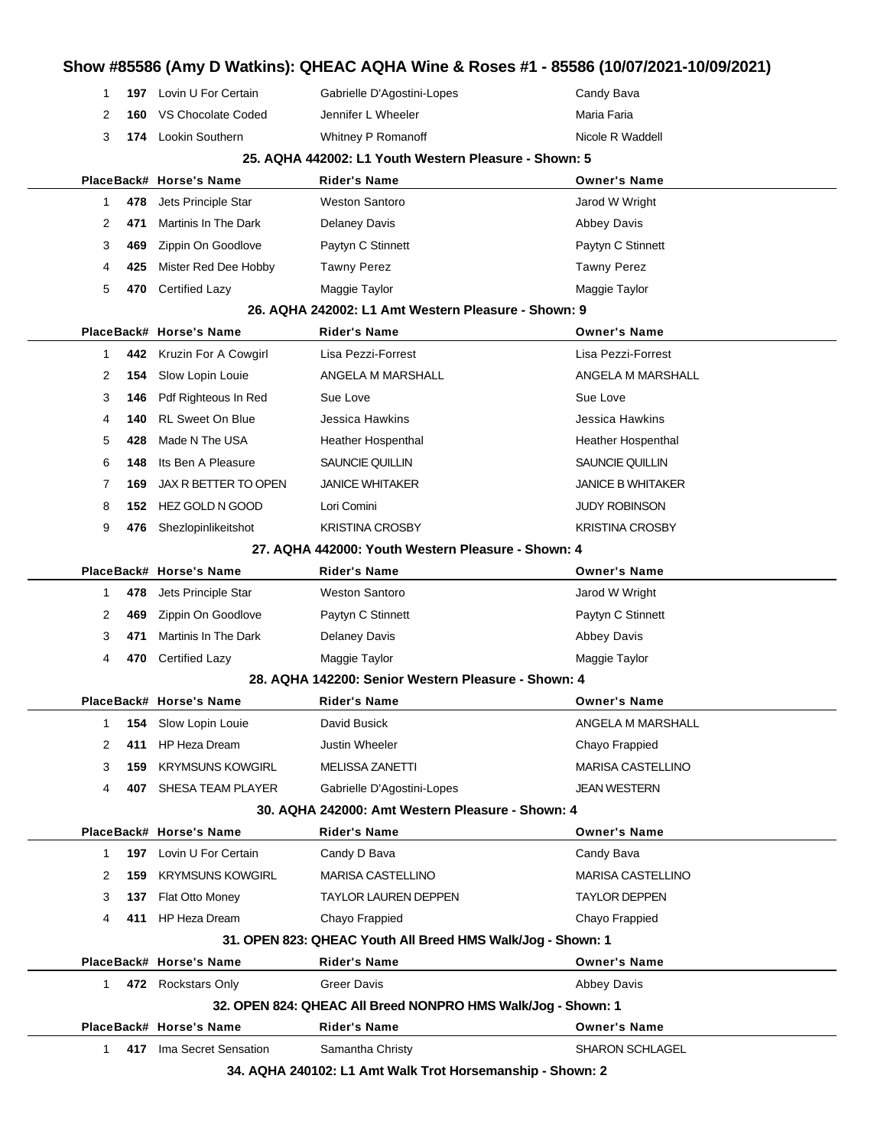| 1  |     | 197 Lovin U For Certain | Gabrielle D'Agostini-Lopes                                   | Candy Bava               |
|----|-----|-------------------------|--------------------------------------------------------------|--------------------------|
| 2  | 160 | VS Chocolate Coded      | Jennifer L Wheeler                                           | Maria Faria              |
| 3  |     | 174 Lookin Southern     | Whitney P Romanoff                                           | Nicole R Waddell         |
|    |     |                         | 25. AQHA 442002: L1 Youth Western Pleasure - Shown: 5        |                          |
|    |     | PlaceBack# Horse's Name | Rider's Name                                                 | <b>Owner's Name</b>      |
| 1  | 478 | Jets Principle Star     | <b>Weston Santoro</b>                                        | Jarod W Wright           |
| 2  | 471 | Martinis In The Dark    | <b>Delaney Davis</b>                                         | <b>Abbey Davis</b>       |
| 3  | 469 | Zippin On Goodlove      | Paytyn C Stinnett                                            | Paytyn C Stinnett        |
| 4  | 425 | Mister Red Dee Hobby    | <b>Tawny Perez</b>                                           | <b>Tawny Perez</b>       |
| 5  | 470 | <b>Certified Lazy</b>   | Maggie Taylor                                                | Maggie Taylor            |
|    |     |                         | 26. AQHA 242002: L1 Amt Western Pleasure - Shown: 9          |                          |
|    |     | PlaceBack# Horse's Name | Rider's Name                                                 | <b>Owner's Name</b>      |
| 1  | 442 | Kruzin For A Cowgirl    | Lisa Pezzi-Forrest                                           | Lisa Pezzi-Forrest       |
| 2  | 154 | Slow Lopin Louie        | ANGELA M MARSHALL                                            | ANGELA M MARSHALL        |
| 3  | 146 | Pdf Righteous In Red    | Sue Love                                                     | Sue Love                 |
| 4  | 140 | <b>RL Sweet On Blue</b> | Jessica Hawkins                                              | Jessica Hawkins          |
| 5  | 428 | Made N The USA          | Heather Hospenthal                                           | Heather Hospenthal       |
| 6  | 148 | Its Ben A Pleasure      | SAUNCIE QUILLIN                                              | SAUNCIE QUILLIN          |
| 7  | 169 | JAX R BETTER TO OPEN    | <b>JANICE WHITAKER</b>                                       | JANICE B WHITAKER        |
| 8  | 152 | <b>HEZ GOLD N GOOD</b>  | Lori Comini                                                  | JUDY ROBINSON            |
| 9  | 476 | Shezlopinlikeitshot     | <b>KRISTINA CROSBY</b>                                       | KRISTINA CROSBY          |
|    |     |                         | 27. AQHA 442000: Youth Western Pleasure - Shown: 4           |                          |
|    |     | PlaceBack# Horse's Name | Rider's Name                                                 | <b>Owner's Name</b>      |
| 1  | 478 | Jets Principle Star     | <b>Weston Santoro</b>                                        | Jarod W Wright           |
| 2  | 469 | Zippin On Goodlove      | Paytyn C Stinnett                                            | Paytyn C Stinnett        |
| 3  | 471 | Martinis In The Dark    | <b>Delaney Davis</b>                                         | <b>Abbey Davis</b>       |
| 4  | 470 | <b>Certified Lazy</b>   | Maggie Taylor                                                | Maggie Taylor            |
|    |     |                         | 28. AQHA 142200: Senior Western Pleasure - Shown: 4          |                          |
|    |     | PlaceBack# Horse's Name | <b>Rider's Name</b>                                          | <b>Owner's Name</b>      |
| 1  | 154 | Slow Lopin Louie        | David Busick                                                 | ANGELA M MARSHALL        |
| 2  | 411 | HP Heza Dream           | Justin Wheeler                                               | Chayo Frappied           |
| 3  | 159 | <b>KRYMSUNS KOWGIRL</b> | <b>MELISSA ZANETTI</b>                                       | <b>MARISA CASTELLINO</b> |
| 4  | 407 | SHESA TEAM PLAYER       | Gabrielle D'Agostini-Lopes                                   | <b>JEAN WESTERN</b>      |
|    |     |                         | 30. AQHA 242000: Amt Western Pleasure - Shown: 4             |                          |
|    |     | PlaceBack# Horse's Name | <b>Rider's Name</b>                                          | <b>Owner's Name</b>      |
| 1  | 197 | Lovin U For Certain     | Candy D Bava                                                 | Candy Bava               |
| 2  | 159 | <b>KRYMSUNS KOWGIRL</b> | MARISA CASTELLINO                                            | MARISA CASTELLINO        |
| 3  | 137 | Flat Otto Money         | <b>TAYLOR LAUREN DEPPEN</b>                                  | TAYLOR DEPPEN            |
| 4  | 411 | HP Heza Dream           | Chayo Frappied                                               | Chayo Frappied           |
|    |     |                         | 31. OPEN 823: QHEAC Youth All Breed HMS Walk/Jog - Shown: 1  |                          |
|    |     | PlaceBack# Horse's Name | <b>Rider's Name</b>                                          | <b>Owner's Name</b>      |
|    |     | 472 Rockstars Only      | <b>Greer Davis</b>                                           | <b>Abbey Davis</b>       |
| 1. |     |                         | 32. OPEN 824: QHEAC All Breed NONPRO HMS Walk/Jog - Shown: 1 |                          |
|    |     |                         |                                                              |                          |
|    |     | PlaceBack# Horse's Name | <b>Rider's Name</b>                                          | <b>Owner's Name</b>      |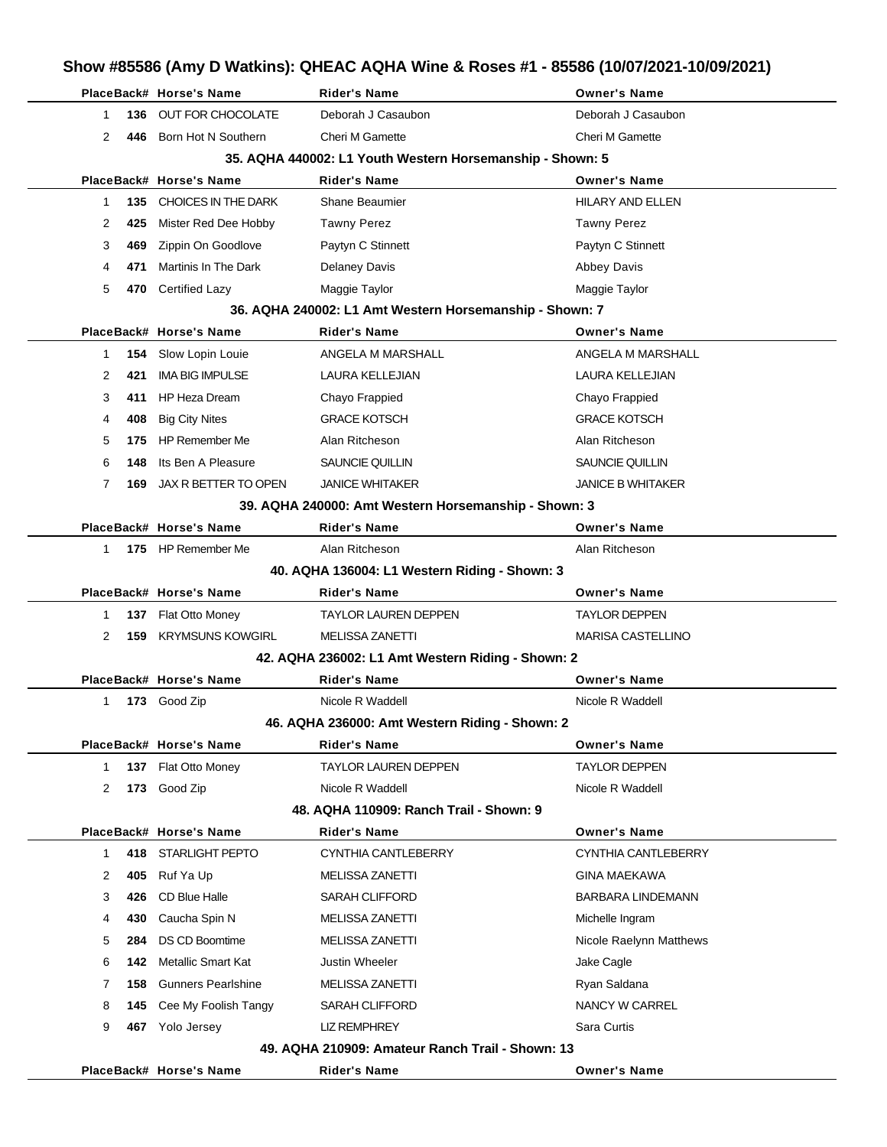|              |     | PlaceBack# Horse's Name     | <b>Rider's Name</b>                                       | <b>Owner's Name</b>      |
|--------------|-----|-----------------------------|-----------------------------------------------------------|--------------------------|
| 1.           | 136 | OUT FOR CHOCOLATE           | Deborah J Casaubon                                        | Deborah J Casaubon       |
| 2            | 446 | Born Hot N Southern         | <b>Cheri M Gamette</b>                                    | Cheri M Gamette          |
|              |     |                             | 35. AQHA 440002: L1 Youth Western Horsemanship - Shown: 5 |                          |
|              |     | PlaceBack# Horse's Name     | <b>Rider's Name</b>                                       | <b>Owner's Name</b>      |
| 1            | 135 | CHOICES IN THE DARK         | <b>Shane Beaumier</b>                                     | HILARY AND ELLEN         |
| 2            | 425 | Mister Red Dee Hobby        | <b>Tawny Perez</b>                                        | <b>Tawny Perez</b>       |
| 3            | 469 | Zippin On Goodlove          | Paytyn C Stinnett                                         | Paytyn C Stinnett        |
| 4            | 471 | <b>Martinis In The Dark</b> | <b>Delaney Davis</b>                                      | <b>Abbey Davis</b>       |
| 5            |     | 470 Certified Lazy          | Maggie Taylor                                             | Maggie Taylor            |
|              |     |                             | 36. AQHA 240002: L1 Amt Western Horsemanship - Shown: 7   |                          |
|              |     | PlaceBack# Horse's Name     | <b>Rider's Name</b>                                       | <b>Owner's Name</b>      |
| 1            | 154 | Slow Lopin Louie            | ANGELA M MARSHALL                                         | ANGELA M MARSHALL        |
| 2            | 421 | <b>IMA BIG IMPULSE</b>      | LAURA KELLEJIAN                                           | LAURA KELLEJIAN          |
| 3            | 411 | <b>HP Heza Dream</b>        | Chayo Frappied                                            | Chayo Frappied           |
| 4            | 408 | <b>Big City Nites</b>       | <b>GRACE KOTSCH</b>                                       | <b>GRACE KOTSCH</b>      |
| 5            | 175 | <b>HP Remember Me</b>       | Alan Ritcheson                                            | Alan Ritcheson           |
| 6            | 148 | Its Ben A Pleasure          | SAUNCIE QUILLIN                                           | SAUNCIE QUILLIN          |
| 7            | 169 | JAX R BETTER TO OPEN        | <b>JANICE WHITAKER</b>                                    | <b>JANICE B WHITAKER</b> |
|              |     |                             | 39. AQHA 240000: Amt Western Horsemanship - Shown: 3      |                          |
|              |     | PlaceBack# Horse's Name     | <b>Rider's Name</b>                                       | <b>Owner's Name</b>      |
| 1.           |     | 175 HP Remember Me          | Alan Ritcheson                                            | Alan Ritcheson           |
|              |     |                             | 40. AQHA 136004: L1 Western Riding - Shown: 3             |                          |
|              |     | PlaceBack# Horse's Name     | Rider's Name                                              | <b>Owner's Name</b>      |
| 1            | 137 | Flat Otto Money             | <b>TAYLOR LAUREN DEPPEN</b>                               | TAYLOR DEPPEN            |
| 2            | 159 | <b>KRYMSUNS KOWGIRL</b>     | <b>MELISSA ZANETTI</b>                                    | <b>MARISA CASTELLINO</b> |
|              |     |                             | 42. AQHA 236002: L1 Amt Western Riding - Shown: 2         |                          |
|              |     | PlaceBack# Horse's Name     | <b>Rider's Name</b>                                       | <b>Owner's Name</b>      |
| 1.           |     | 173 Good Zip                | Nicole R Waddell                                          | Nicole R Waddell         |
|              |     |                             | 46. AQHA 236000: Amt Western Riding - Shown: 2            |                          |
|              |     | PlaceBack# Horse's Name     | <b>Rider's Name</b>                                       | <b>Owner's Name</b>      |
| $\mathbf{1}$ | 137 | Flat Otto Money             | <b>TAYLOR LAUREN DEPPEN</b>                               | <b>TAYLOR DEPPEN</b>     |
| 2            | 173 | Good Zip                    | Nicole R Waddell                                          | Nicole R Waddell         |
|              |     |                             | 48. AQHA 110909: Ranch Trail - Shown: 9                   |                          |
|              |     | PlaceBack# Horse's Name     | Rider's Name                                              | <b>Owner's Name</b>      |
| 1            | 418 | <b>STARLIGHT PEPTO</b>      | CYNTHIA CANTLEBERRY                                       | CYNTHIA CANTLEBERRY      |
| 2            | 405 | Ruf Ya Up                   | MELISSA ZANETTI                                           | <b>GINA MAEKAWA</b>      |
| 3            | 426 | CD Blue Halle               | SARAH CLIFFORD                                            | <b>BARBARA LINDEMANN</b> |
| 4            | 430 | Caucha Spin N               | <b>MELISSA ZANETTI</b>                                    | Michelle Ingram          |
| 5            | 284 | <b>DS CD Boomtime</b>       | <b>MELISSA ZANETTI</b>                                    | Nicole Raelynn Matthews  |
| 6            | 142 | Metallic Smart Kat          | <b>Justin Wheeler</b>                                     | Jake Cagle               |
| 7            | 158 | <b>Gunners Pearlshine</b>   | MELISSA ZANETTI                                           | Ryan Saldana             |
| 8            | 145 | Cee My Foolish Tangy        | <b>SARAH CLIFFORD</b>                                     | NANCY W CARREL           |
| 9            | 467 | Yolo Jersey                 | <b>LIZ REMPHREY</b>                                       | Sara Curtis              |
|              |     |                             |                                                           |                          |
|              |     |                             | 49. AQHA 210909: Amateur Ranch Trail - Shown: 13          |                          |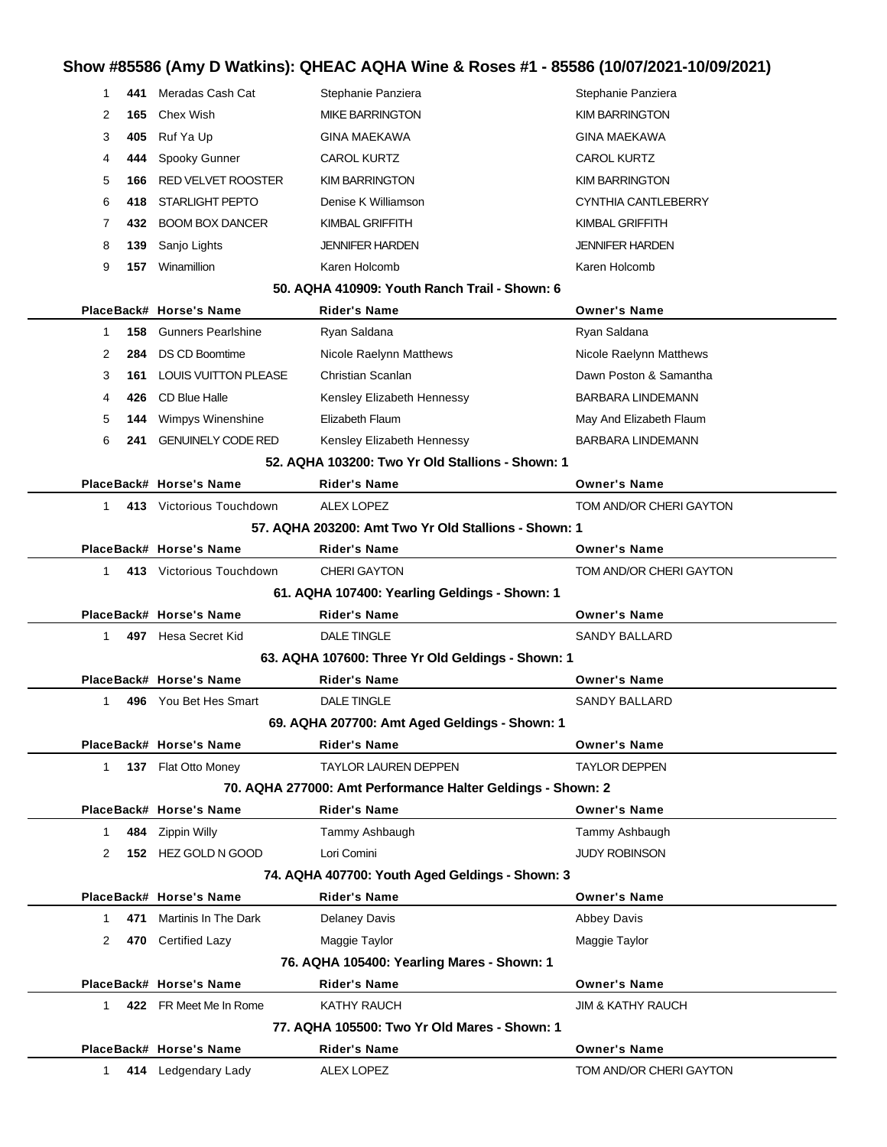# **Show #85586 (Amy D Watkins): QHEAC AQHA Wine & Roses #1 - 85586 (10/07/2021-10/09/2021)**

| 1            | 441 | Meradas Cash Cat              | Stephanie Panziera                                          | Stephanie Panziera           |
|--------------|-----|-------------------------------|-------------------------------------------------------------|------------------------------|
| 2            | 165 | Chex Wish                     | <b>MIKE BARRINGTON</b>                                      | <b>KIM BARRINGTON</b>        |
| 3            | 405 | Ruf Ya Up                     | <b>GINA MAEKAWA</b>                                         | <b>GINA MAEKAWA</b>          |
| 4            | 444 | Spooky Gunner                 | CAROL KURTZ                                                 | <b>CAROL KURTZ</b>           |
| 5            | 166 | <b>RED VELVET ROOSTER</b>     | <b>KIM BARRINGTON</b>                                       | <b>KIM BARRINGTON</b>        |
| 6            | 418 | <b>STARLIGHT PEPTO</b>        | Denise K Williamson                                         | CYNTHIA CANTLEBERRY          |
| 7            | 432 | <b>BOOM BOX DANCER</b>        | <b>KIMBAL GRIFFITH</b>                                      | <b>KIMBAL GRIFFITH</b>       |
| 8            | 139 | Sanjo Lights                  | <b>JENNIFER HARDEN</b>                                      | <b>JENNIFER HARDEN</b>       |
| 9            | 157 | Winamillion                   | Karen Holcomb                                               | Karen Holcomb                |
|              |     |                               | 50. AQHA 410909: Youth Ranch Trail - Shown: 6               |                              |
|              |     | PlaceBack# Horse's Name       | <b>Rider's Name</b>                                         | <b>Owner's Name</b>          |
| 1            |     | <b>158</b> Gunners Pearlshine | Ryan Saldana                                                | Ryan Saldana                 |
| 2            | 284 | <b>DS CD Boomtime</b>         | Nicole Raelynn Matthews                                     | Nicole Raelynn Matthews      |
| 3            | 161 | <b>LOUIS VUITTON PLEASE</b>   | Christian Scanlan                                           | Dawn Poston & Samantha       |
| 4            | 426 | CD Blue Halle                 | Kensley Elizabeth Hennessy                                  | <b>BARBARA LINDEMANN</b>     |
| 5            | 144 | Wimpys Winenshine             | Elizabeth Flaum                                             | May And Elizabeth Flaum      |
| 6            | 241 | <b>GENUINELY CODE RED</b>     | Kensley Elizabeth Hennessy                                  | <b>BARBARA LINDEMANN</b>     |
|              |     |                               | 52. AQHA 103200: Two Yr Old Stallions - Shown: 1            |                              |
|              |     | PlaceBack# Horse's Name       | <b>Rider's Name</b>                                         | <b>Owner's Name</b>          |
| 1            |     | 413 Victorious Touchdown      | ALEX LOPEZ                                                  | TOM AND/OR CHERI GAYTON      |
|              |     |                               | 57. AQHA 203200: Amt Two Yr Old Stallions - Shown: 1        |                              |
|              |     | PlaceBack# Horse's Name       | <b>Rider's Name</b>                                         | <b>Owner's Name</b>          |
| $\mathbf{1}$ |     | 413 Victorious Touchdown      | <b>CHERI GAYTON</b>                                         | TOM AND/OR CHERI GAYTON      |
|              |     |                               | 61. AQHA 107400: Yearling Geldings - Shown: 1               |                              |
|              |     | PlaceBack# Horse's Name       | <b>Rider's Name</b>                                         | <b>Owner's Name</b>          |
| $\mathbf 1$  |     | 497 Hesa Secret Kid           | <b>DALE TINGLE</b>                                          | <b>SANDY BALLARD</b>         |
|              |     |                               | 63. AQHA 107600: Three Yr Old Geldings - Shown: 1           |                              |
|              |     | PlaceBack# Horse's Name       | <b>Rider's Name</b>                                         | <b>Owner's Name</b>          |
| 1            | 496 | You Bet Hes Smart             | <b>DALE TINGLE</b>                                          | <b>SANDY BALLARD</b>         |
|              |     |                               | 69. AQHA 207700: Amt Aged Geldings - Shown: 1               |                              |
|              |     | PlaceBack# Horse's Name       | <b>Rider's Name</b>                                         | <b>Owner's Name</b>          |
| 1            |     | 137 Flat Otto Money           | <b>TAYLOR LAUREN DEPPEN</b>                                 | <b>TAYLOR DEPPEN</b>         |
|              |     |                               | 70. AQHA 277000: Amt Performance Halter Geldings - Shown: 2 |                              |
|              |     | PlaceBack# Horse's Name       | <b>Rider's Name</b>                                         | <b>Owner's Name</b>          |
| $\mathbf{1}$ |     | 484 Zippin Willy              | Tammy Ashbaugh                                              | Tammy Ashbaugh               |
| 2            |     | 152 HEZ GOLD N GOOD           | Lori Comini                                                 | <b>JUDY ROBINSON</b>         |
|              |     |                               | 74. AQHA 407700: Youth Aged Geldings - Shown: 3             |                              |
|              |     | PlaceBack# Horse's Name       | <b>Rider's Name</b>                                         | <b>Owner's Name</b>          |
| $\mathbf{1}$ | 471 | Martinis In The Dark          | <b>Delaney Davis</b>                                        | Abbey Davis                  |
| 2            |     | 470 Certified Lazy            | Maggie Taylor                                               | Maggie Taylor                |
|              |     |                               | 76. AQHA 105400: Yearling Mares - Shown: 1                  |                              |
|              |     | PlaceBack# Horse's Name       | <b>Rider's Name</b>                                         | <b>Owner's Name</b>          |
| $\mathbf{1}$ |     | 422 FR Meet Me In Rome        | KATHY RAUCH                                                 | <b>JIM &amp; KATHY RAUCH</b> |
|              |     |                               | 77. AQHA 105500: Two Yr Old Mares - Shown: 1                |                              |
|              |     | PlaceBack# Horse's Name       | <b>Rider's Name</b>                                         | <b>Owner's Name</b>          |
| 1            |     | 414 Ledgendary Lady           | <b>ALEX LOPEZ</b>                                           | TOM AND/OR CHERI GAYTON      |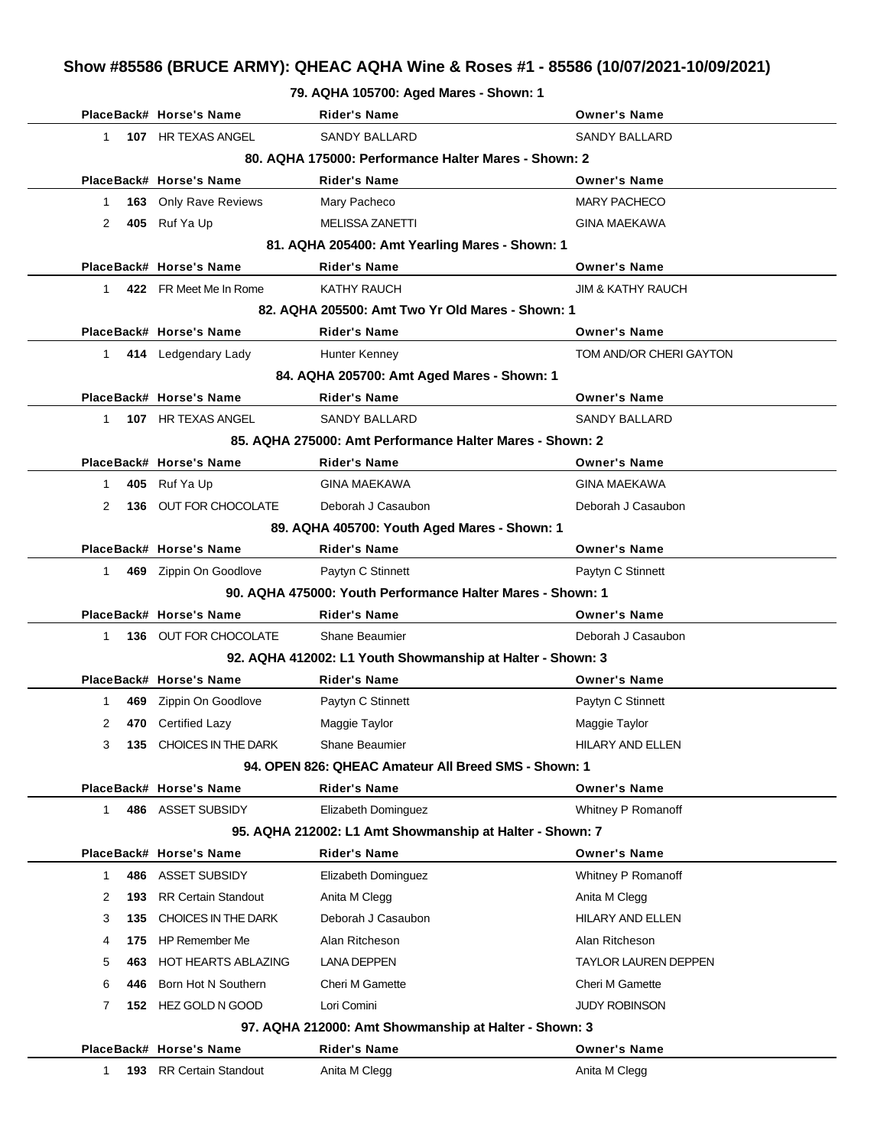# **Show #85586 (BRUCE ARMY): QHEAC AQHA Wine & Roses #1 - 85586 (10/07/2021-10/09/2021)**

#### **79. AQHA 105700: Aged Mares - Shown: 1**

|              | PlaceBack# Horse's Name      | Rider's Name                                               | <b>Owner's Name</b>     |
|--------------|------------------------------|------------------------------------------------------------|-------------------------|
| 1.           | 107 HR TEXAS ANGEL           | <b>SANDY BALLARD</b>                                       | SANDY BALLARD           |
|              |                              | 80. AQHA 175000: Performance Halter Mares - Shown: 2       |                         |
|              | PlaceBack# Horse's Name      | Rider's Name                                               | <b>Owner's Name</b>     |
| 1            | <b>163</b> Only Rave Reviews | Mary Pacheco                                               | <b>MARY PACHECO</b>     |
| 405<br>2     | Ruf Ya Up                    | MELISSA ZANETTI                                            | <b>GINA MAEKAWA</b>     |
|              |                              | 81. AQHA 205400: Amt Yearling Mares - Shown: 1             |                         |
|              | PlaceBack# Horse's Name      | <b>Rider's Name</b>                                        | <b>Owner's Name</b>     |
| $\mathbf 1$  | 422 FR Meet Me In Rome       | KATHY RAUCH                                                | JIM & KATHY RAUCH       |
|              |                              | 82. AQHA 205500: Amt Two Yr Old Mares - Shown: 1           |                         |
|              | PlaceBack# Horse's Name      | Rider's Name                                               | <b>Owner's Name</b>     |
| $1 \quad$    | 414 Ledgendary Lady          | Hunter Kenney                                              | TOM AND/OR CHERI GAYTON |
|              |                              | 84. AQHA 205700: Amt Aged Mares - Shown: 1                 |                         |
|              | PlaceBack# Horse's Name      | <b>Rider's Name</b>                                        | <b>Owner's Name</b>     |
| 1.           | 107 HR TEXAS ANGEL           | <b>SANDY BALLARD</b>                                       | <b>SANDY BALLARD</b>    |
|              |                              | 85. AQHA 275000: Amt Performance Halter Mares - Shown: 2   |                         |
|              | PlaceBack# Horse's Name      | Rider's Name                                               | <b>Owner's Name</b>     |
| 1            | 405 Ruf Ya Up                | <b>GINA MAEKAWA</b>                                        | <b>GINA MAEKAWA</b>     |
| 2<br>136     | OUT FOR CHOCOLATE            | Deborah J Casaubon                                         | Deborah J Casaubon      |
|              |                              | 89. AQHA 405700: Youth Aged Mares - Shown: 1               |                         |
|              | PlaceBack# Horse's Name      | <b>Rider's Name</b>                                        | <b>Owner's Name</b>     |
| $\mathbf{1}$ | 469 Zippin On Goodlove       | Paytyn C Stinnett                                          | Paytyn C Stinnett       |
|              |                              | 90. AQHA 475000: Youth Performance Halter Mares - Shown: 1 |                         |
|              | PlaceBack# Horse's Name      | <b>Rider's Name</b>                                        | <b>Owner's Name</b>     |
| 1.           | <b>136 OUT FOR CHOCOLATE</b> | Shane Beaumier                                             | Deborah J Casaubon      |
|              |                              | 92. AQHA 412002: L1 Youth Showmanship at Halter - Shown: 3 |                         |
|              | PlaceBack# Horse's Name      | <b>Rider's Name</b>                                        | <b>Owner's Name</b>     |
| 469<br>1     | Zippin On Goodlove           | Paytyn C Stinnett                                          | Paytyn C Stinnett       |
| 2<br>470     | <b>Certified Lazy</b>        | Maggie Taylor                                              | Maggie Taylor           |
| 3<br>135     | CHOICES IN THE DARK          | Shane Beaumier                                             | HILARY AND ELLEN        |
|              |                              | 94. OPEN 826: QHEAC Amateur All Breed SMS - Shown: 1       |                         |
|              | PlaceBack# Horse's Name      | Rider's Name                                               | <b>Owner's Name</b>     |
| 1            | 486 ASSET SUBSIDY            | Elizabeth Dominguez                                        | Whitney P Romanoff      |
|              |                              | 95. AQHA 212002: L1 Amt Showmanship at Halter - Shown: 7   |                         |
|              | PlaceBack# Horse's Name      | <b>Rider's Name</b>                                        | <b>Owner's Name</b>     |
| 486<br>1     | ASSET SUBSIDY                | Elizabeth Dominguez                                        | Whitney P Romanoff      |
| 2<br>193     | <b>RR Certain Standout</b>   | Anita M Clegg                                              | Anita M Clegg           |
| 3<br>135     | CHOICES IN THE DARK          | Deborah J Casaubon                                         | <b>HILARY AND ELLEN</b> |
| 175<br>4     | <b>HP Remember Me</b>        | Alan Ritcheson                                             | Alan Ritcheson          |
| 5<br>463     | HOT HEARTS ABLAZING          | LANA DEPPEN                                                | TAYLOR LAUREN DEPPEN    |
| 6<br>446     | Born Hot N Southern          | Cheri M Gamette                                            | Cheri M Gamette         |
| 7            | 152 HEZ GOLD N GOOD          | Lori Comini                                                | JUDY ROBINSON           |
|              |                              | 97. AQHA 212000: Amt Showmanship at Halter - Shown: 3      |                         |
|              | PlaceBack# Horse's Name      | Rider's Name                                               | <b>Owner's Name</b>     |
| 1<br>193     | <b>RR Certain Standout</b>   | Anita M Clegg                                              | Anita M Clegg           |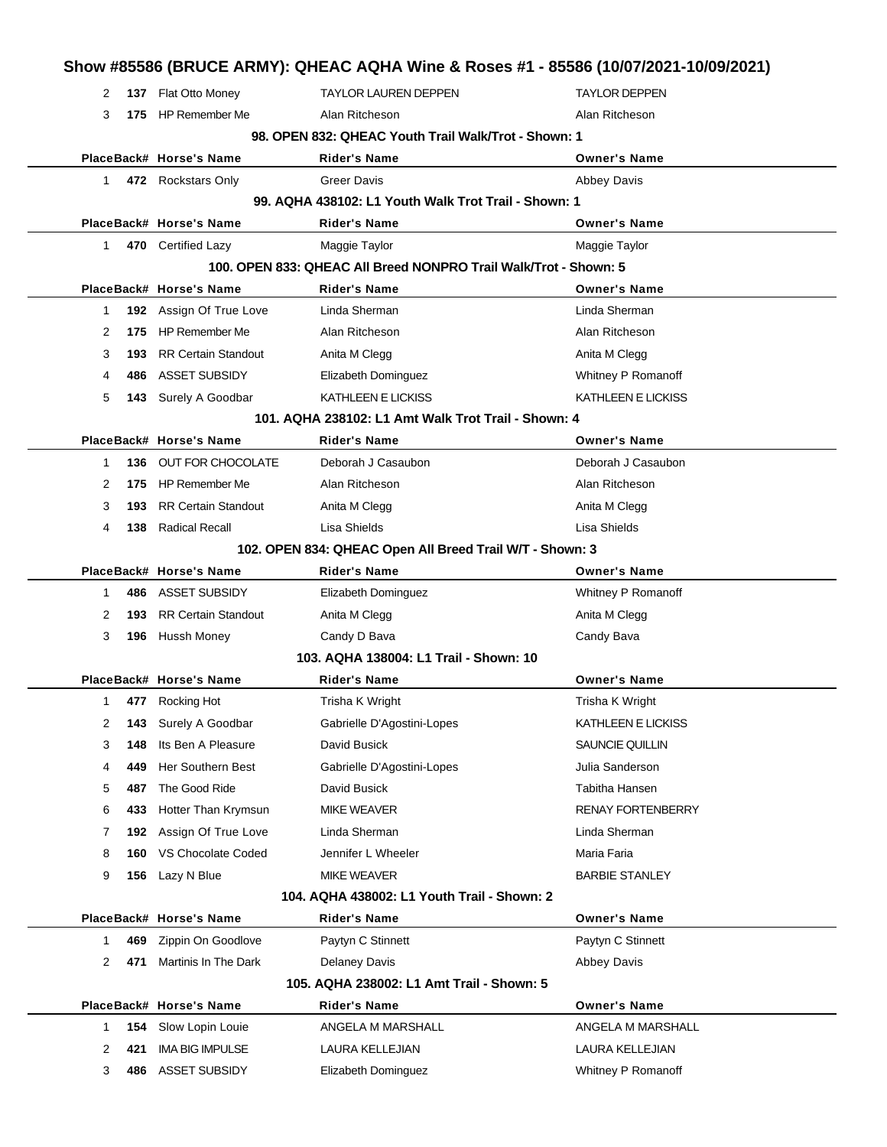|              |              |                                                     | Show #85586 (BRUCE ARMY): QHEAC AQHA Wine & Roses #1 - 85586 (10/07/2021-10/09/2021) |                                      |
|--------------|--------------|-----------------------------------------------------|--------------------------------------------------------------------------------------|--------------------------------------|
| 2            |              | 137 Flat Otto Money                                 | <b>TAYLOR LAUREN DEPPEN</b>                                                          | <b>TAYLOR DEPPEN</b>                 |
|              | 3            | 175 HP Remember Me                                  | Alan Ritcheson                                                                       | Alan Ritcheson                       |
|              |              |                                                     | 98. OPEN 832: QHEAC Youth Trail Walk/Trot - Shown: 1                                 |                                      |
|              |              | PlaceBack# Horse's Name                             | Rider's Name                                                                         | <b>Owner's Name</b>                  |
| $\mathbf{1}$ |              | 472 Rockstars Only                                  | <b>Greer Davis</b>                                                                   | Abbey Davis                          |
|              |              |                                                     | 99. AQHA 438102: L1 Youth Walk Trot Trail - Shown: 1                                 |                                      |
|              |              | PlaceBack# Horse's Name                             | <b>Rider's Name</b>                                                                  | <b>Owner's Name</b>                  |
|              | $\mathbf{1}$ | 470 Certified Lazy                                  | Maggie Taylor                                                                        | Maggie Taylor                        |
|              |              |                                                     | 100. OPEN 833: QHEAC All Breed NONPRO Trail Walk/Trot - Shown: 5                     |                                      |
|              |              | PlaceBack# Horse's Name                             | Rider's Name                                                                         | <b>Owner's Name</b>                  |
| -1           |              | 192 Assign Of True Love                             | Linda Sherman                                                                        | Linda Sherman                        |
| 2            | 175          | HP Remember Me                                      | Alan Ritcheson                                                                       | Alan Ritcheson                       |
| 3            | 193          | <b>RR Certain Standout</b>                          | Anita M Clegg                                                                        | Anita M Clegg                        |
| 4            | 486          | <b>ASSET SUBSIDY</b>                                | Elizabeth Dominguez                                                                  | Whitney P Romanoff                   |
| 5            | 143          | Surely A Goodbar                                    | KATHLEEN E LICKISS                                                                   | KATHLEEN E LICKISS                   |
|              |              |                                                     | 101. AQHA 238102: L1 Amt Walk Trot Trail - Shown: 4                                  |                                      |
|              |              | PlaceBack# Horse's Name                             | <b>Rider's Name</b>                                                                  | <b>Owner's Name</b>                  |
| 1            | 136          | OUT FOR CHOCOLATE                                   | Deborah J Casaubon<br>Alan Ritcheson                                                 | Deborah J Casaubon<br>Alan Ritcheson |
| 2<br>3       | 175<br>193   | <b>HP Remember Me</b><br><b>RR Certain Standout</b> | Anita M Clegg                                                                        | Anita M Clegg                        |
| 4            | 138          | <b>Radical Recall</b>                               | Lisa Shields                                                                         | Lisa Shields                         |
|              |              |                                                     | 102. OPEN 834: QHEAC Open All Breed Trail W/T - Shown: 3                             |                                      |
|              |              | PlaceBack# Horse's Name                             | Rider's Name                                                                         | <b>Owner's Name</b>                  |
| 1            | 486          | ASSET SUBSIDY                                       | Elizabeth Dominguez                                                                  | Whitney P Romanoff                   |
| 2            | 193          | <b>RR Certain Standout</b>                          | Anita M Clegg                                                                        | Anita M Clegg                        |
| 3            | 196          | Hussh Money                                         | Candy D Bava                                                                         | Candy Bava                           |
|              |              |                                                     | 103. AQHA 138004: L1 Trail - Shown: 10                                               |                                      |
|              |              | PlaceBack# Horse's Name                             | Rider's Name                                                                         | <b>Owner's Name</b>                  |
|              | $\mathbf{1}$ | 477 Rocking Hot                                     | Trisha K Wright                                                                      | Trisha K Wright                      |
| 2            | 143          | Surely A Goodbar                                    | Gabrielle D'Agostini-Lopes                                                           | KATHLEEN E LICKISS                   |
| 3            | 148          | Its Ben A Pleasure                                  | David Busick                                                                         | SAUNCIE QUILLIN                      |
| 4            | 449          | Her Southern Best                                   | Gabrielle D'Agostini-Lopes                                                           | Julia Sanderson                      |
| 5            | 487          | The Good Ride                                       | David Busick                                                                         | Tabitha Hansen                       |
| 6            | 433          | Hotter Than Krymsun                                 | <b>MIKE WEAVER</b>                                                                   | <b>RENAY FORTENBERRY</b>             |
| 7            | 192          | Assign Of True Love                                 | Linda Sherman                                                                        | Linda Sherman                        |
| 8            | 160          | VS Chocolate Coded                                  | Jennifer L Wheeler                                                                   | Maria Faria                          |
| 9            | 156          | Lazy N Blue                                         | <b>MIKE WEAVER</b>                                                                   | <b>BARBIE STANLEY</b>                |
|              |              |                                                     | 104. AQHA 438002: L1 Youth Trail - Shown: 2                                          |                                      |
|              |              | PlaceBack# Horse's Name                             | Rider's Name                                                                         | <b>Owner's Name</b>                  |
| -1           | 469          | Zippin On Goodlove                                  | Paytyn C Stinnett                                                                    | Paytyn C Stinnett                    |
| 2            | 471          | Martinis In The Dark                                | <b>Delaney Davis</b>                                                                 | Abbey Davis                          |
|              |              |                                                     | 105. AQHA 238002: L1 Amt Trail - Shown: 5                                            |                                      |
|              |              | PlaceBack# Horse's Name                             | Rider's Name                                                                         | <b>Owner's Name</b>                  |
| 1            | 154          | Slow Lopin Louie                                    | ANGELA M MARSHALL                                                                    | ANGELA M MARSHALL                    |
| 2            | 421          | <b>IMA BIG IMPULSE</b>                              | LAURA KELLEJIAN                                                                      | LAURA KELLEJIAN                      |
|              | 3<br>486     | <b>ASSET SUBSIDY</b>                                | Elizabeth Dominguez                                                                  | Whitney P Romanoff                   |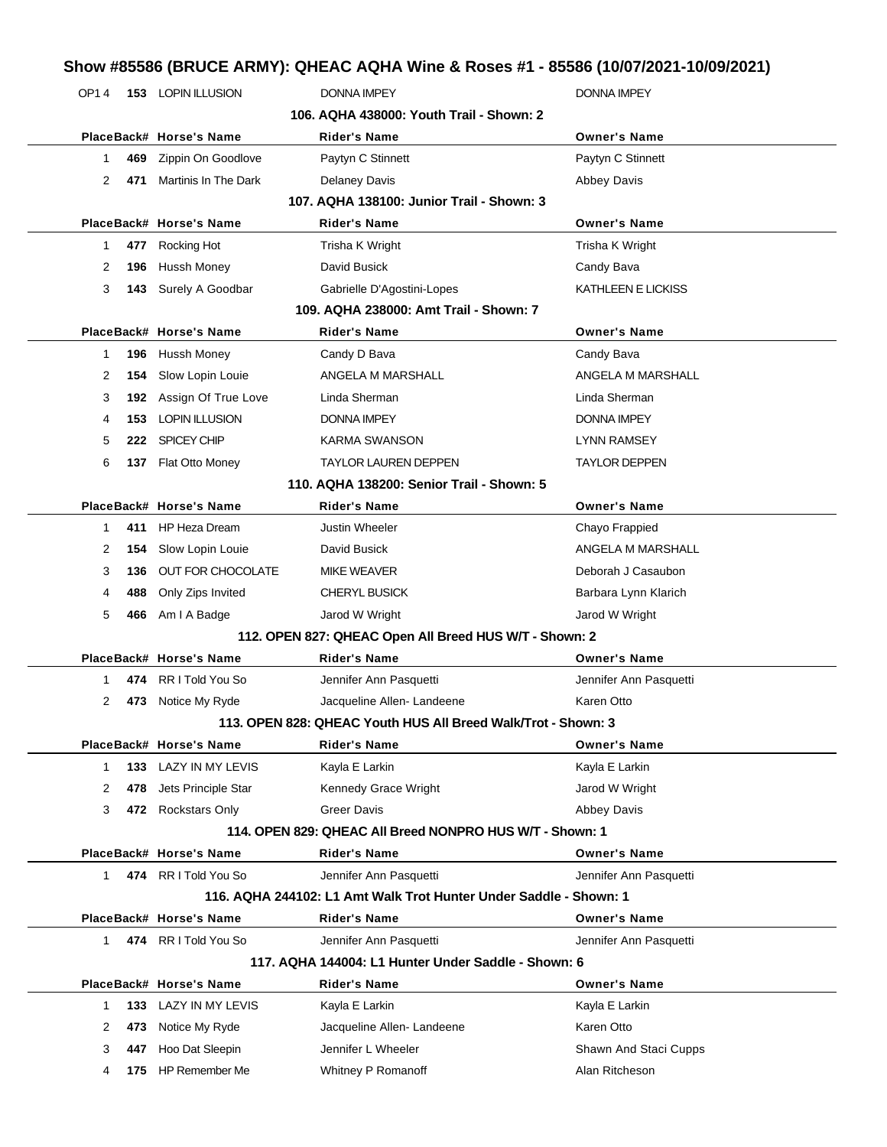# **Show #85586 (BRUCE ARMY): QHEAC AQHA Wine & Roses #1 - 85586 (10/07/2021-10/09/2021)**

| 11000 000000 DNUCE ANITI J. QHEAC AQHA WITH & NUSES #1 " 00000 (TU/UT/ZUZ I"TU/U9/ZUZ I |              |     |                           |                                                                   |                        |  |
|-----------------------------------------------------------------------------------------|--------------|-----|---------------------------|-------------------------------------------------------------------|------------------------|--|
|                                                                                         | OP14         |     | <b>153 LOPIN ILLUSION</b> | <b>DONNA IMPEY</b>                                                | <b>DONNA IMPEY</b>     |  |
|                                                                                         |              |     |                           | 106. AQHA 438000: Youth Trail - Shown: 2                          |                        |  |
|                                                                                         |              |     | PlaceBack# Horse's Name   | Rider's Name                                                      | <b>Owner's Name</b>    |  |
|                                                                                         | 1            | 469 | Zippin On Goodlove        | Paytyn C Stinnett                                                 | Paytyn C Stinnett      |  |
|                                                                                         | 2            | 471 | Martinis In The Dark      | Delaney Davis                                                     | <b>Abbey Davis</b>     |  |
|                                                                                         |              |     |                           | 107. AQHA 138100: Junior Trail - Shown: 3                         |                        |  |
|                                                                                         |              |     | PlaceBack# Horse's Name   | Rider's Name                                                      | <b>Owner's Name</b>    |  |
|                                                                                         | 1            | 477 | Rocking Hot               | Trisha K Wright                                                   | Trisha K Wright        |  |
|                                                                                         | 2            | 196 | Hussh Money               | David Busick                                                      | Candy Bava             |  |
|                                                                                         | 3            |     | 143 Surely A Goodbar      | Gabrielle D'Agostini-Lopes                                        | KATHLEEN E LICKISS     |  |
|                                                                                         |              |     |                           | 109. AQHA 238000: Amt Trail - Shown: 7                            |                        |  |
|                                                                                         |              |     | PlaceBack# Horse's Name   | <b>Rider's Name</b>                                               | <b>Owner's Name</b>    |  |
|                                                                                         | 1            | 196 | Hussh Money               | Candy D Bava                                                      | Candy Bava             |  |
|                                                                                         | 2            | 154 | Slow Lopin Louie          | ANGELA M MARSHALL                                                 | ANGELA M MARSHALL      |  |
|                                                                                         | 3            | 192 | Assign Of True Love       | Linda Sherman                                                     | Linda Sherman          |  |
|                                                                                         | 4            | 153 | <b>LOPIN ILLUSION</b>     | DONNA IMPEY                                                       | DONNA IMPEY            |  |
|                                                                                         | 5            | 222 | SPICEY CHIP               | KARMA SWANSON                                                     | LYNN RAMSEY            |  |
|                                                                                         | 6            |     | 137 Flat Otto Money       | <b>TAYLOR LAUREN DEPPEN</b>                                       | TAYLOR DEPPEN          |  |
|                                                                                         |              |     |                           | 110. AQHA 138200: Senior Trail - Shown: 5                         |                        |  |
|                                                                                         |              |     | PlaceBack# Horse's Name   | <b>Rider's Name</b>                                               | <b>Owner's Name</b>    |  |
|                                                                                         | 1            | 411 | <b>HP Heza Dream</b>      | <b>Justin Wheeler</b>                                             | Chayo Frappied         |  |
|                                                                                         | 2            | 154 | Slow Lopin Louie          | David Busick                                                      | ANGELA M MARSHALL      |  |
|                                                                                         | 3            | 136 | OUT FOR CHOCOLATE         | <b>MIKE WEAVER</b>                                                | Deborah J Casaubon     |  |
|                                                                                         | 4            | 488 | Only Zips Invited         | <b>CHERYL BUSICK</b>                                              | Barbara Lynn Klarich   |  |
|                                                                                         | 5            |     | 466 Am I A Badge          | Jarod W Wright                                                    | Jarod W Wright         |  |
|                                                                                         |              |     |                           | 112. OPEN 827: QHEAC Open All Breed HUS W/T - Shown: 2            |                        |  |
|                                                                                         |              |     | PlaceBack# Horse's Name   | <b>Rider's Name</b>                                               | <b>Owner's Name</b>    |  |
|                                                                                         | 1            |     | 474 RR I Told You So      | Jennifer Ann Pasquetti                                            | Jennifer Ann Pasquetti |  |
|                                                                                         | 2            |     | 473 Notice My Ryde        | Jacqueline Allen-Landeene                                         | Karen Otto             |  |
|                                                                                         |              |     |                           | 113. OPEN 828: QHEAC Youth HUS All Breed Walk/Trot - Shown: 3     |                        |  |
|                                                                                         |              |     | PlaceBack# Horse's Name   | <b>Rider's Name</b>                                               | <b>Owner's Name</b>    |  |
|                                                                                         | 1            | 133 | LAZY IN MY LEVIS          | Kayla E Larkin                                                    | Kayla E Larkin         |  |
|                                                                                         | 2            | 478 | Jets Principle Star       | Kennedy Grace Wright                                              | Jarod W Wright         |  |
|                                                                                         | 3            |     | 472 Rockstars Only        | <b>Greer Davis</b>                                                | Abbey Davis            |  |
|                                                                                         |              |     |                           | 114. OPEN 829: QHEAC All Breed NONPRO HUS W/T - Shown: 1          |                        |  |
|                                                                                         |              |     | PlaceBack# Horse's Name   | <b>Rider's Name</b>                                               | <b>Owner's Name</b>    |  |
|                                                                                         | 1            |     | 474 RR I Told You So      | Jennifer Ann Pasquetti                                            | Jennifer Ann Pasquetti |  |
|                                                                                         |              |     |                           | 116. AQHA 244102: L1 Amt Walk Trot Hunter Under Saddle - Shown: 1 |                        |  |
|                                                                                         |              |     | PlaceBack# Horse's Name   | <b>Rider's Name</b>                                               | <b>Owner's Name</b>    |  |
|                                                                                         | $\mathbf{1}$ |     | 474 RR I Told You So      | Jennifer Ann Pasquetti                                            | Jennifer Ann Pasquetti |  |
|                                                                                         |              |     |                           | 117. AQHA 144004: L1 Hunter Under Saddle - Shown: 6               |                        |  |
|                                                                                         |              |     | PlaceBack# Horse's Name   | <b>Rider's Name</b>                                               | <b>Owner's Name</b>    |  |
|                                                                                         | 1            | 133 | LAZY IN MY LEVIS          | Kayla E Larkin                                                    | Kayla E Larkin         |  |
|                                                                                         | 2            | 473 | Notice My Ryde            | Jacqueline Allen-Landeene                                         | Karen Otto             |  |
|                                                                                         | 3            | 447 | Hoo Dat Sleepin           | Jennifer L Wheeler                                                | Shawn And Staci Cupps  |  |
|                                                                                         | 4            |     | 175 HP Remember Me        | Whitney P Romanoff                                                | Alan Ritcheson         |  |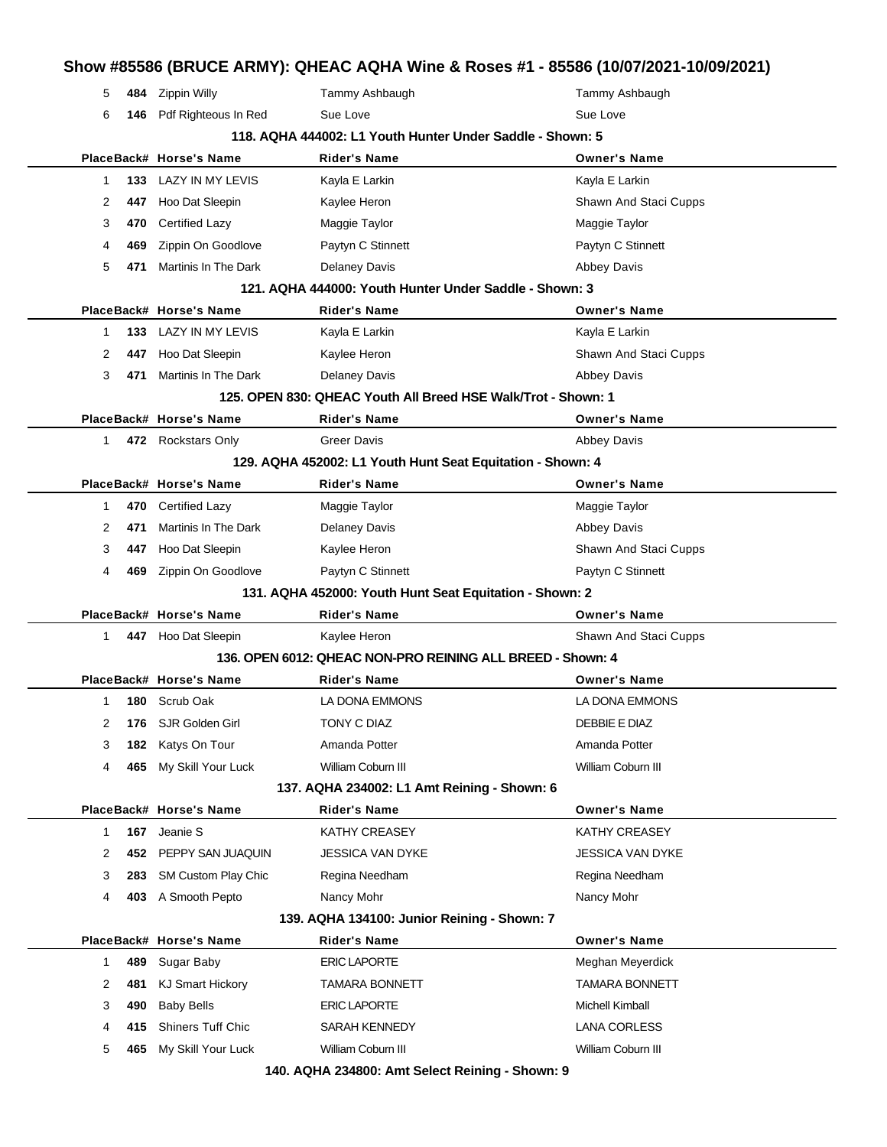# **Show #85586 (BRUCE ARMY): QHEAC AQHA Wine & Roses #1 - 85586 (10/07/2021-10/09/2021)** 5 **484** Zippin Willy Tammy Ashbaugh Tammy Ashbaugh 6 **146** Pdf Righteous In Red Sue Love Sue Love Sue Love Sue Love **118. AQHA 444002: L1 Youth Hunter Under Saddle - Shown: 5 PlaceBack# Horse's Name Rider's Name Owner's Name** 1 **133** LAZY IN MY LEVIS Kayla E Larkin Kayla E Larkin Kayla E Larkin 2 **447** Hoo Dat Sleepin **Kaylee Heron** Shawn And Staci Cupps 3 **470** Certified Lazy **Maggie Taylor** Maggie Taylor Maggie Taylor 4 **469** Zippin On Goodlove Paytyn C Stinnett Paytyn C Stinnett 5 **471** Martinis In The Dark Delaney Davis Development Delaney Davis Abbey Davis **121. AQHA 444000: Youth Hunter Under Saddle - Shown: 3 PlaceBack# Horse's Name Rider's Name Owner's Name** 1 **133** LAZY IN MY LEVIS Kayla E Larkin Kayla E Larkin Kayla E Larkin 2 **447** Hoo Dat Sleepin **Kaylee Heron** Shawn And Staci Cupps 3 **471** Martinis In The Dark Delaney Davis **Delaney Davis** Abbey Davis **125. OPEN 830: QHEAC Youth All Breed HSE Walk/Trot - Shown: 1 PlaceBack# Horse's Name Rider's Name Owner's Name** 1 **472** Rockstars Only **Greer Davis Abbey Davis** Abbey Davis **129. AQHA 452002: L1 Youth Hunt Seat Equitation - Shown: 4 PlaceBack# Horse's Name Rider's Name Owner's Name** 1 **470** Certified Lazy Maggie Taylor Maggie Taylor 2 **471** Martinis In The Dark Delaney Davis **Delaney Davis** Abbey Davis 3 **447** Hoo Dat Sleepin **Kaylee Heron** Shawn And Staci Cupps 4 **469** Zippin On Goodlove Paytyn C Stinnett Paytyn C Stinnett **131. AQHA 452000: Youth Hunt Seat Equitation - Shown: 2 PlaceBack# Horse's Name Rider's Name Owner's Name** 1 **447** Hoo Dat Sleepin **Kaylee Heron** Shawn And Staci Cupps **136. OPEN 6012: QHEAC NON-PRO REINING ALL BREED - Shown: 4 PlaceBack# Horse's Name Rider's Name Owner's Name** 1 **180** Scrub Oak LA DONA EMMONS LA DONA EMMONS 2 **176** SJR Golden Girl **TONY C DIAZ DEBBIE E DIAZ** DEBBIE E DIAZ 3 **182** Katys On Tour **Amanda Potter** Amanda Potter Amanda Potter 4 **465** My Skill Your Luck William Coburn III William Coburn III **137. AQHA 234002: L1 Amt Reining - Shown: 6 PlaceBack# Horse's Name Rider's Name Owner's Name** 1 **167** Jeanie S KATHY CREASEY KATHY CREASEY 2 **452** PEPPY SAN JUAQUIN JESSICA VAN DYKE JESSICA VAN DYKE 3 **283** SM Custom Play Chic Regina Needham Regina Needham Regina Needham 4 **403** A Smooth Pepto Nancy Mohr Nancy Mohr **139. AQHA 134100: Junior Reining - Shown: 7 PlaceBack# Horse's Name Rider's Name Owner's Name** 1 **489** Sugar Baby **ERIC LAPORTE ERIC LARE MEGALE Meghan Meyerdick** 2 481 KJ Smart Hickory **TAMARA BONNETT** TAMARA BONNETT 3 **490** Baby Bells **ERIC LAPORTE ERIC LAPORTE** Michell Kimball 4 **415** Shiners Tuff Chic SARAH KENNEDY LANA CORLESS 5 **465** My Skill Your Luck William Coburn III William Coburn III **140. AQHA 234800: Amt Select Reining - Shown: 9**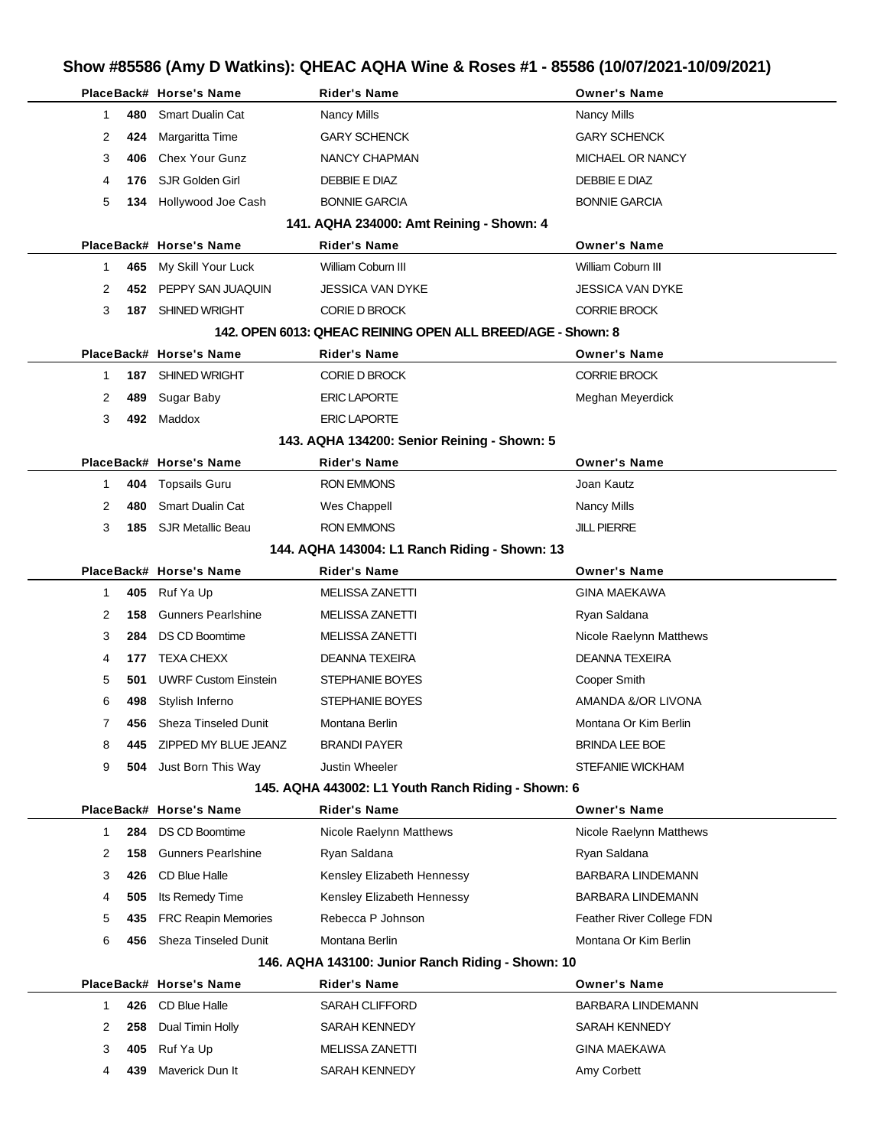# **Show #85586 (Amy D Watkins): QHEAC AQHA Wine & Roses #1 - 85586 (10/07/2021-10/09/2021)**

|                |     | PlaceBack# Horse's Name     | <b>Rider's Name</b>                                         | <b>Owner's Name</b>       |
|----------------|-----|-----------------------------|-------------------------------------------------------------|---------------------------|
| 1              | 480 | <b>Smart Dualin Cat</b>     | <b>Nancy Mills</b>                                          | <b>Nancy Mills</b>        |
| 2              | 424 | Margaritta Time             | <b>GARY SCHENCK</b>                                         | <b>GARY SCHENCK</b>       |
| 3              | 406 | <b>Chex Your Gunz</b>       | NANCY CHAPMAN                                               | MICHAEL OR NANCY          |
| 4              | 176 | SJR Golden Girl             | DEBBIE E DIAZ                                               | DEBBIE E DIAZ             |
| 5              | 134 | Hollywood Joe Cash          | <b>BONNIE GARCIA</b>                                        | <b>BONNIE GARCIA</b>      |
|                |     |                             | 141. AQHA 234000: Amt Reining - Shown: 4                    |                           |
|                |     | PlaceBack# Horse's Name     | <b>Rider's Name</b>                                         | <b>Owner's Name</b>       |
| 1              | 465 | My Skill Your Luck          | William Coburn III                                          | William Coburn III        |
| 2              |     | 452 PEPPY SAN JUAQUIN       | JESSICA VAN DYKE                                            | <b>JESSICA VAN DYKE</b>   |
| 3              |     | 187 SHINED WRIGHT           | <b>CORIE D BROCK</b>                                        | <b>CORRIE BROCK</b>       |
|                |     |                             | 142. OPEN 6013: QHEAC REINING OPEN ALL BREED/AGE - Shown: 8 |                           |
|                |     | PlaceBack# Horse's Name     | <b>Rider's Name</b>                                         | <b>Owner's Name</b>       |
| 1              |     | 187 SHINED WRIGHT           | <b>CORIE D BROCK</b>                                        | <b>CORRIE BROCK</b>       |
| 2              | 489 | Sugar Baby                  | <b>ERIC LAPORTE</b>                                         | Meghan Meyerdick          |
| 3              |     | 492 Maddox                  | <b>ERIC LAPORTE</b>                                         |                           |
|                |     |                             | 143. AQHA 134200: Senior Reining - Shown: 5                 |                           |
|                |     | PlaceBack# Horse's Name     | <b>Rider's Name</b>                                         | <b>Owner's Name</b>       |
| 1              | 404 | <b>Topsails Guru</b>        | RON EMMONS                                                  | Joan Kautz                |
| 2              | 480 | <b>Smart Dualin Cat</b>     | Wes Chappell                                                | <b>Nancy Mills</b>        |
| 3              | 185 | SJR Metallic Beau           | RON EMMONS                                                  | <b>JILL PIERRE</b>        |
|                |     |                             | 144. AQHA 143004: L1 Ranch Riding - Shown: 13               |                           |
|                |     | PlaceBack# Horse's Name     | <b>Rider's Name</b>                                         | <b>Owner's Name</b>       |
| 1              |     | 405 Ruf Ya Up               | <b>MELISSA ZANETTI</b>                                      | <b>GINA MAEKAWA</b>       |
| 2              | 158 | <b>Gunners Pearlshine</b>   | <b>MELISSA ZANETTI</b>                                      | Ryan Saldana              |
| 3              | 284 | <b>DS CD Boomtime</b>       | <b>MELISSA ZANETTI</b>                                      | Nicole Raelynn Matthews   |
| 4              | 177 | <b>TEXA CHEXX</b>           | DEANNA TEXEIRA                                              | <b>DEANNA TEXEIRA</b>     |
| 5              | 501 | <b>UWRF Custom Einstein</b> | STEPHANIE BOYES                                             | Cooper Smith              |
| 6              | 498 | Stylish Inferno             | STEPHANIE BOYES                                             | AMANDA &/OR LIVONA        |
| $\overline{7}$ | 456 | Sheza Tinseled Dunit        | Montana Berlin                                              | Montana Or Kim Berlin     |
| 8              | 445 | ZIPPED MY BLUE JEANZ        | <b>BRANDI PAYER</b>                                         | <b>BRINDA LEE BOE</b>     |
| 9              | 504 | Just Born This Way          | Justin Wheeler                                              | <b>STEFANIE WICKHAM</b>   |
|                |     |                             | 145. AQHA 443002: L1 Youth Ranch Riding - Shown: 6          |                           |
|                |     | PlaceBack# Horse's Name     | <b>Rider's Name</b>                                         | <b>Owner's Name</b>       |
| 1              | 284 | <b>DS CD Boomtime</b>       | Nicole Raelynn Matthews                                     | Nicole Raelynn Matthews   |
| 2              | 158 | <b>Gunners Pearlshine</b>   | Ryan Saldana                                                | Ryan Saldana              |
| 3              | 426 | CD Blue Halle               | Kensley Elizabeth Hennessy                                  | <b>BARBARA LINDEMANN</b>  |
| 4              | 505 | Its Remedy Time             | Kensley Elizabeth Hennessy                                  | <b>BARBARA LINDEMANN</b>  |
| 5              | 435 | <b>FRC Reapin Memories</b>  | Rebecca P Johnson                                           | Feather River College FDN |
| 6              | 456 | <b>Sheza Tinseled Dunit</b> | Montana Berlin                                              | Montana Or Kim Berlin     |
|                |     |                             | 146. AQHA 143100: Junior Ranch Riding - Shown: 10           |                           |
|                |     | PlaceBack# Horse's Name     | <b>Rider's Name</b>                                         | <b>Owner's Name</b>       |
| 1              | 426 | CD Blue Halle               | SARAH CLIFFORD                                              | <b>BARBARA LINDEMANN</b>  |
| 2              | 258 | Dual Timin Holly            | SARAH KENNEDY                                               | SARAH KENNEDY             |
| 3              | 405 | Ruf Ya Up                   | <b>MELISSA ZANETTI</b>                                      | <b>GINA MAEKAWA</b>       |
| 4              | 439 | Maverick Dun It             | SARAH KENNEDY                                               | Amy Corbett               |